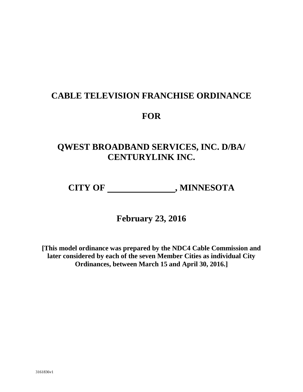# **CABLE TELEVISION FRANCHISE ORDINANCE**

## **FOR**

# **QWEST BROADBAND SERVICES, INC. D/BA/ CENTURYLINK INC.**

CITY OF \_\_\_\_\_\_\_\_\_\_\_\_\_\_\_\_\_\_\_\_\_\_, MINNESOTA

**February 23, 2016**

**[This model ordinance was prepared by the NDC4 Cable Commission and later considered by each of the seven Member Cities as individual City Ordinances, between March 15 and April 30, 2016.]**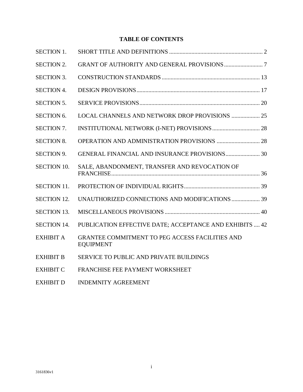## **TABLE OF CONTENTS**

| <b>SECTION 1.</b>  |                                                                            |
|--------------------|----------------------------------------------------------------------------|
| <b>SECTION 2.</b>  |                                                                            |
| <b>SECTION 3.</b>  |                                                                            |
| <b>SECTION 4.</b>  |                                                                            |
| <b>SECTION 5.</b>  |                                                                            |
| <b>SECTION 6.</b>  | LOCAL CHANNELS AND NETWORK DROP PROVISIONS  25                             |
| <b>SECTION 7.</b>  |                                                                            |
| <b>SECTION 8.</b>  |                                                                            |
| <b>SECTION 9.</b>  | <b>GENERAL FINANCIAL AND INSURANCE PROVISIONS 30</b>                       |
| <b>SECTION 10.</b> | SALE, ABANDONMENT, TRANSFER AND REVOCATION OF                              |
| <b>SECTION 11.</b> |                                                                            |
| <b>SECTION 12.</b> | UNAUTHORIZED CONNECTIONS AND MODIFICATIONS  39                             |
| <b>SECTION 13.</b> |                                                                            |
| <b>SECTION 14.</b> | PUBLICATION EFFECTIVE DATE; ACCEPTANCE AND EXHIBITS  42                    |
| <b>EXHIBIT A</b>   | <b>GRANTEE COMMITMENT TO PEG ACCESS FACILITIES AND</b><br><b>EQUIPMENT</b> |
| <b>EXHIBIT B</b>   | SERVICE TO PUBLIC AND PRIVATE BUILDINGS                                    |
| <b>EXHIBIT C</b>   | FRANCHISE FEE PAYMENT WORKSHEET                                            |
| <b>EXHIBIT D</b>   | <b>INDEMNITY AGREEMENT</b>                                                 |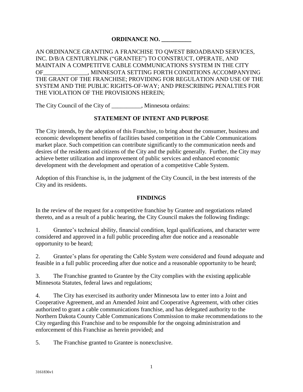## **ORDINANCE NO. \_\_\_\_\_\_\_\_\_\_**

AN ORDINANCE GRANTING A FRANCHISE TO QWEST BROADBAND SERVICES, INC. D/B/A CENTURYLINK ("GRANTEE") TO CONSTRUCT, OPERATE, AND MAINTAIN A COMPETITVE CABLE COMMUNICATIONS SYSTEM IN THE CITY OF THE MINNESOTA SETTING FORTH CONDITIONS ACCOMPANYING THE GRANT OF THE FRANCHISE; PROVIDING FOR REGULATION AND USE OF THE SYSTEM AND THE PUBLIC RIGHTS-OF-WAY; AND PRESCRIBING PENALTIES FOR THE VIOLATION OF THE PROVISIONS HEREIN;

The City Council of the City of \_\_\_\_\_\_\_\_\_\_, Minnesota ordains:

## **STATEMENT OF INTENT AND PURPOSE**

The City intends, by the adoption of this Franchise, to bring about the consumer, business and economic development benefits of facilities based competition in the Cable Communications market place. Such competition can contribute significantly to the communication needs and desires of the residents and citizens of the City and the public generally. Further, the City may achieve better utilization and improvement of public services and enhanced economic development with the development and operation of a competitive Cable System.

Adoption of this Franchise is, in the judgment of the City Council, in the best interests of the City and its residents.

## **FINDINGS**

In the review of the request for a competitive franchise by Grantee and negotiations related thereto, and as a result of a public hearing, the City Council makes the following findings:

1. Grantee's technical ability, financial condition, legal qualifications, and character were considered and approved in a full public proceeding after due notice and a reasonable opportunity to be heard;

2. Grantee's plans for operating the Cable System were considered and found adequate and feasible in a full public proceeding after due notice and a reasonable opportunity to be heard;

3. The Franchise granted to Grantee by the City complies with the existing applicable Minnesota Statutes, federal laws and regulations;

4. The City has exercised its authority under Minnesota law to enter into a Joint and Cooperative Agreement, and an Amended Joint and Cooperative Agreement, with other cities authorized to grant a cable communications franchise, and has delegated authority to the Northern Dakota County Cable Communications Commission to make recommendations to the City regarding this Franchise and to be responsible for the ongoing administration and enforcement of this Franchise as herein provided; and

5. The Franchise granted to Grantee is nonexclusive.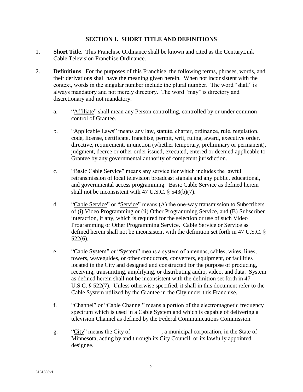#### **SECTION 1. SHORT TITLE AND DEFINITIONS**

- 1. **Short Title**. This Franchise Ordinance shall be known and cited as the CenturyLink Cable Television Franchise Ordinance.
- 2. **Definitions**. For the purposes of this Franchise, the following terms, phrases, words, and their derivations shall have the meaning given herein. When not inconsistent with the context, words in the singular number include the plural number. The word "shall" is always mandatory and not merely directory. The word "may" is directory and discretionary and not mandatory.
	- a. "Affiliate" shall mean any Person controlling, controlled by or under common control of Grantee.
	- b. "Applicable Laws" means any law, statute, charter, ordinance, rule, regulation, code, license, certificate, franchise, permit, writ, ruling, award, executive order, directive, requirement, injunction (whether temporary, preliminary or permanent), judgment, decree or other order issued, executed, entered or deemed applicable to Grantee by any governmental authority of competent jurisdiction.
	- c. "Basic Cable Service" means any service tier which includes the lawful retransmission of local television broadcast signals and any public, educational, and governmental access programming. Basic Cable Service as defined herein shall not be inconsistent with 47 U.S.C. § 543(b)(7).
	- d. "Cable Service" or "Service" means (A) the one-way transmission to Subscribers of (i) Video Programming or (ii) Other Programming Service, and (B) Subscriber interaction, if any, which is required for the selection or use of such Video Programming or Other Programming Service. Cable Service or Service as defined herein shall not be inconsistent with the definition set forth in 47 U.S.C. § 522(6).
	- e. "Cable System" or "System" means a system of antennas, cables, wires, lines, towers, waveguides, or other conductors, converters, equipment, or facilities located in the City and designed and constructed for the purpose of producing, receiving, transmitting, amplifying, or distributing audio, video, and data. System as defined herein shall not be inconsistent with the definition set forth in 47 U.S.C. § 522(7). Unless otherwise specified, it shall in this document refer to the Cable System utilized by the Grantee in the City under this Franchise.
	- f. "Channel" or "Cable Channel" means a portion of the electromagnetic frequency spectrum which is used in a Cable System and which is capable of delivering a television Channel as defined by the Federal Communications Commission.
	- g. "City" means the City of \_\_\_\_\_\_\_\_, a municipal corporation, in the State of Minnesota, acting by and through its City Council, or its lawfully appointed designee.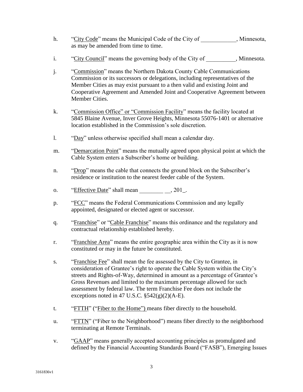- h. "City Code" means the Municipal Code of the City of Ninnesota, as may be amended from time to time.
- i. "City Council" means the governing body of the City of  $\ldots$ , Minnesota.
- j. "Commission" means the Northern Dakota County Cable Communications Commission or its successors or delegations, including representatives of the Member Cities as may exist pursuant to a then valid and existing Joint and Cooperative Agreement and Amended Joint and Cooperative Agreement between Member Cities.
- k. "Commission Office" or "Commission Facility" means the facility located at 5845 Blaine Avenue, Inver Grove Heights, Minnesota 55076-1401 or alternative location established in the Commission's sole discretion.
- l. "Day" unless otherwise specified shall mean a calendar day.
- m. "Demarcation Point" means the mutually agreed upon physical point at which the Cable System enters a Subscriber's home or building.
- n. "Drop" means the cable that connects the ground block on the Subscriber's residence or institution to the nearest feeder cable of the System.
- o. "Effective Date" shall mean  $\qquad \qquad . 201$ .
- p. "FCC" means the Federal Communications Commission and any legally appointed, designated or elected agent or successor.
- q. "Franchise" or "Cable Franchise" means this ordinance and the regulatory and contractual relationship established hereby.
- r. "Franchise Area" means the entire geographic area within the City as it is now constituted or may in the future be constituted.
- s. "Franchise Fee" shall mean the fee assessed by the City to Grantee, in consideration of Grantee's right to operate the Cable System within the City's streets and Rights-of-Way, determined in amount as a percentage of Grantee's Gross Revenues and limited to the maximum percentage allowed for such assessment by federal law. The term Franchise Fee does not include the exceptions noted in 47 U.S.C. §542(g)(2)(A-E).
- t. "FTTH" ("Fiber to the Home") means fiber directly to the household.
- u. "FTTN" ("Fiber to the Neighborhood") means fiber directly to the neighborhood terminating at Remote Terminals.
- v. "GAAP" means generally accepted accounting principles as promulgated and defined by the Financial Accounting Standards Board ("FASB"), Emerging Issues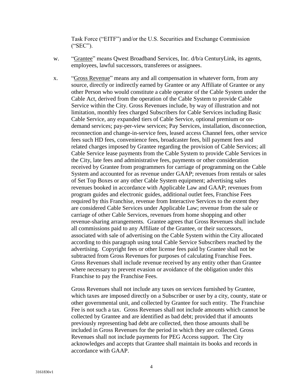Task Force ("EITF") and/or the U.S. Securities and Exchange Commission ("SEC").

- w. "Grantee" means Qwest Broadband Services, Inc. d/b/a CenturyLink, its agents, employees, lawful successors, transferees or assignees.
- x. "Gross Revenue" means any and all compensation in whatever form, from any source, directly or indirectly earned by Grantee or any Affiliate of Grantee or any other Person who would constitute a cable operator of the Cable System under the Cable Act, derived from the operation of the Cable System to provide Cable Service within the City. Gross Revenues include, by way of illustration and not limitation, monthly fees charged Subscribers for Cable Services including Basic Cable Service, any expanded tiers of Cable Service, optional premium or ondemand services; pay-per-view services; Pay Services, installation, disconnection, reconnection and change-in-service fees, leased access Channel fees, other service fees such HD fees, convenience fees, broadcaster fees, bill payment fees and related charges imposed by Grantee regarding the provision of Cable Services; all Cable Service lease payments from the Cable System to provide Cable Services in the City, late fees and administrative fees, payments or other consideration received by Grantee from programmers for carriage of programming on the Cable System and accounted for as revenue under GAAP; revenues from rentals or sales of Set Top Boxes or any other Cable System equipment; advertising sales revenues booked in accordance with Applicable Law and GAAP; revenues from program guides and electronic guides, additional outlet fees, Franchise Fees required by this Franchise, revenue from Interactive Services to the extent they are considered Cable Services under Applicable Law; revenue from the sale or carriage of other Cable Services, revenues from home shopping and other revenue-sharing arrangements. Grantee agrees that Gross Revenues shall include all commissions paid to any Affiliate of the Grantee, or their successors, associated with sale of advertising on the Cable System within the City allocated according to this paragraph using total Cable Service Subscribers reached by the advertising. Copyright fees or other license fees paid by Grantee shall not be subtracted from Gross Revenues for purposes of calculating Franchise Fees. Gross Revenues shall include revenue received by any entity other than Grantee where necessary to prevent evasion or avoidance of the obligation under this Franchise to pay the Franchise Fees.

Gross Revenues shall not include any taxes on services furnished by Grantee, which taxes are imposed directly on a Subscriber or user by a city, county, state or other governmental unit, and collected by Grantee for such entity. The Franchise Fee is not such a tax. Gross Revenues shall not include amounts which cannot be collected by Grantee and are identified as bad debt; provided that if amounts previously representing bad debt are collected, then those amounts shall be included in Gross Revenues for the period in which they are collected. Gross Revenues shall not include payments for PEG Access support. The City acknowledges and accepts that Grantee shall maintain its books and records in accordance with GAAP.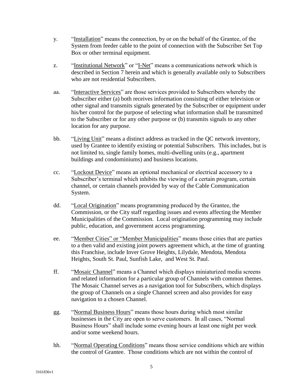- y. "Installation" means the connection, by or on the behalf of the Grantee, of the System from feeder cable to the point of connection with the Subscriber Set Top Box or other terminal equipment.
- z. "Institutional Network" or "I-Net" means a communications network which is described in Section 7 herein and which is generally available only to Subscribers who are not residential Subscribers.
- aa. "Interactive Services" are those services provided to Subscribers whereby the Subscriber either (a) both receives information consisting of either television or other signal and transmits signals generated by the Subscriber or equipment under his/her control for the purpose of selecting what information shall be transmitted to the Subscriber or for any other purpose or (b) transmits signals to any other location for any purpose.
- bb. "Living Unit" means a distinct address as tracked in the QC network inventory, used by Grantee to identify existing or potential Subscribers. This includes, but is not limited to, single family homes, multi-dwelling units (e.g., apartment buildings and condominiums) and business locations.
- cc. "Lockout Device" means an optional mechanical or electrical accessory to a Subscriber's terminal which inhibits the viewing of a certain program, certain channel, or certain channels provided by way of the Cable Communication System.
- dd. "Local Origination" means programming produced by the Grantee, the Commission, or the City staff regarding issues and events affecting the Member Municipalities of the Commission. Local origination programming may include public, education, and government access programming.
- ee. "Member Cities" or "Member Municipalities" means those cities that are parties to a then valid and existing joint powers agreement which, at the time of granting this Franchise, include Inver Grove Heights, Lilydale, Mendota, Mendota Heights, South St. Paul, Sunfish Lake, and West St. Paul.
- ff. "Mosaic Channel" means a Channel which displays miniaturized media screens and related information for a particular group of Channels with common themes. The Mosaic Channel serves as a navigation tool for Subscribers, which displays the group of Channels on a single Channel screen and also provides for easy navigation to a chosen Channel.
- gg. "Normal Business Hours" means those hours during which most similar businesses in the City are open to serve customers. In all cases, "Normal Business Hours" shall include some evening hours at least one night per week and/or some weekend hours.
- hh. "Normal Operating Conditions" means those service conditions which are within the control of Grantee. Those conditions which are not within the control of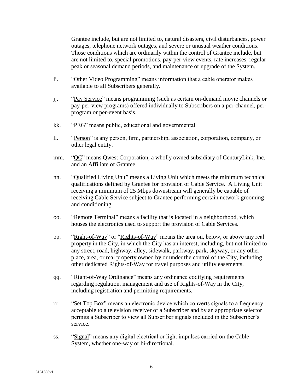Grantee include, but are not limited to, natural disasters, civil disturbances, power outages, telephone network outages, and severe or unusual weather conditions. Those conditions which are ordinarily within the control of Grantee include, but are not limited to, special promotions, pay-per-view events, rate increases, regular peak or seasonal demand periods, and maintenance or upgrade of the System.

- ii. "Other Video Programming" means information that a cable operator makes available to all Subscribers generally.
- jj. "Pay Service" means programming (such as certain on-demand movie channels or pay-per-view programs) offered individually to Subscribers on a per-channel, perprogram or per-event basis.
- kk. "PEG" means public, educational and governmental.
- ll. "Person" is any person, firm, partnership, association, corporation, company, or other legal entity.
- mm. "QC" means Qwest Corporation, a wholly owned subsidiary of CenturyLink, Inc. and an Affiliate of Grantee.
- nn. "Qualified Living Unit" means a Living Unit which meets the minimum technical qualifications defined by Grantee for provision of Cable Service. A Living Unit receiving a minimum of 25 Mbps downstream will generally be capable of receiving Cable Service subject to Grantee performing certain network grooming and conditioning.
- oo. "Remote Terminal" means a facility that is located in a neighborhood, which houses the electronics used to support the provision of Cable Services.
- pp. "Right-of-Way" or "Rights-of-Way" means the area on, below, or above any real property in the City, in which the City has an interest, including, but not limited to any street, road, highway, alley, sidewalk, parkway, park, skyway, or any other place, area, or real property owned by or under the control of the City, including other dedicated Rights-of-Way for travel purposes and utility easements.
- qq. "Right-of-Way Ordinance" means any ordinance codifying requirements regarding regulation, management and use of Rights-of-Way in the City, including registration and permitting requirements.
- rr. "Set Top Box" means an electronic device which converts signals to a frequency acceptable to a television receiver of a Subscriber and by an appropriate selector permits a Subscriber to view all Subscriber signals included in the Subscriber's service.
- ss. "Signal" means any digital electrical or light impulses carried on the Cable System, whether one-way or bi-directional.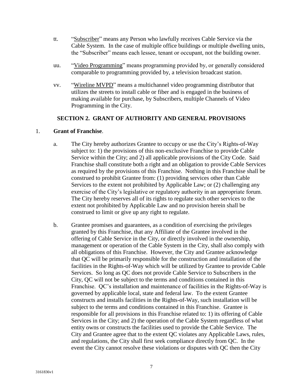- tt. "Subscriber" means any Person who lawfully receives Cable Service via the Cable System. In the case of multiple office buildings or multiple dwelling units, the "Subscriber" means each lessee, tenant or occupant, not the building owner.
- uu. "Video Programming" means programming provided by, or generally considered comparable to programming provided by, a television broadcast station.
- vv. "Wireline MVPD" means a multichannel video programming distributor that utilizes the streets to install cable or fiber and is engaged in the business of making available for purchase, by Subscribers, multiple Channels of Video Programming in the City.

#### **SECTION 2. GRANT OF AUTHORITY AND GENERAL PROVISIONS**

#### 1. **Grant of Franchise**.

- a. The City hereby authorizes Grantee to occupy or use the City's Rights-of-Way subject to: 1) the provisions of this non-exclusive Franchise to provide Cable Service within the City; and 2) all applicable provisions of the City Code. Said Franchise shall constitute both a right and an obligation to provide Cable Services as required by the provisions of this Franchise. Nothing in this Franchise shall be construed to prohibit Grantee from: (1) providing services other than Cable Services to the extent not prohibited by Applicable Law; or (2) challenging any exercise of the City's legislative or regulatory authority in an appropriate forum. The City hereby reserves all of its rights to regulate such other services to the extent not prohibited by Applicable Law and no provision herein shall be construed to limit or give up any right to regulate.
- b. Grantee promises and guarantees, as a condition of exercising the privileges granted by this Franchise, that any Affiliate of the Grantee involved in the offering of Cable Service in the City, or directly involved in the ownership, management or operation of the Cable System in the City, shall also comply with all obligations of this Franchise. However, the City and Grantee acknowledge that QC will be primarily responsible for the construction and installation of the facilities in the Rights-of-Way which will be utilized by Grantee to provide Cable Services. So long as QC does not provide Cable Service to Subscribers in the City, QC will not be subject to the terms and conditions contained in this Franchise. QC's installation and maintenance of facilities in the Rights-of-Way is governed by applicable local, state and federal law. To the extent Grantee constructs and installs facilities in the Rights-of-Way, such installation will be subject to the terms and conditions contained in this Franchise. Grantee is responsible for all provisions in this Franchise related to: 1) its offering of Cable Services in the City; and 2) the operation of the Cable System regardless of what entity owns or constructs the facilities used to provide the Cable Service. The City and Grantee agree that to the extent QC violates any Applicable Laws, rules, and regulations, the City shall first seek compliance directly from QC. In the event the City cannot resolve these violations or disputes with QC then the City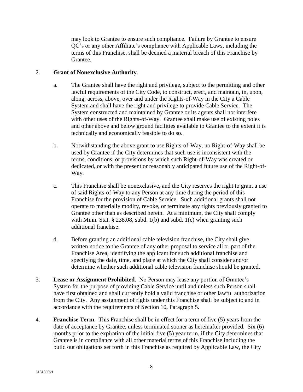may look to Grantee to ensure such compliance. Failure by Grantee to ensure QC's or any other Affiliate's compliance with Applicable Laws, including the terms of this Franchise, shall be deemed a material breach of this Franchise by Grantee.

#### 2. **Grant of Nonexclusive Authority**.

- a. The Grantee shall have the right and privilege, subject to the permitting and other lawful requirements of the City Code, to construct, erect, and maintain, in, upon, along, across, above, over and under the Rights-of-Way in the City a Cable System and shall have the right and privilege to provide Cable Service. The System constructed and maintained by Grantee or its agents shall not interfere with other uses of the Rights-of-Way. Grantee shall make use of existing poles and other above and below ground facilities available to Grantee to the extent it is technically and economically feasible to do so.
- b. Notwithstanding the above grant to use Rights-of-Way, no Right-of-Way shall be used by Grantee if the City determines that such use is inconsistent with the terms, conditions, or provisions by which such Right-of-Way was created or dedicated, or with the present or reasonably anticipated future use of the Right-of-Way.
- c. This Franchise shall be nonexclusive, and the City reserves the right to grant a use of said Rights-of-Way to any Person at any time during the period of this Franchise for the provision of Cable Service. Such additional grants shall not operate to materially modify, revoke, or terminate any rights previously granted to Grantee other than as described herein. At a minimum, the City shall comply with Minn. Stat.  $\S$  238.08, subd. 1(b) and subd. 1(c) when granting such additional franchise.
- d. Before granting an additional cable television franchise, the City shall give written notice to the Grantee of any other proposal to service all or part of the Franchise Area, identifying the applicant for such additional franchise and specifying the date, time, and place at which the City shall consider and/or determine whether such additional cable television franchise should be granted.
- 3. **Lease or Assignment Prohibited**. No Person may lease any portion of Grantee's System for the purpose of providing Cable Service until and unless such Person shall have first obtained and shall currently hold a valid franchise or other lawful authorization from the City. Any assignment of rights under this Franchise shall be subject to and in accordance with the requirements of Section 10, Paragraph 5.
- 4. **Franchise Term**. This Franchise shall be in effect for a term of five (5) years from the date of acceptance by Grantee, unless terminated sooner as hereinafter provided. Six (6) months prior to the expiration of the initial five (5) year term, if the City determines that Grantee is in compliance with all other material terms of this Franchise including the build out obligations set forth in this Franchise as required by Applicable Law, the City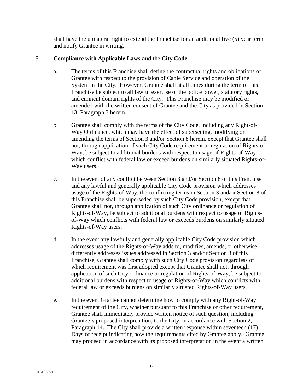shall have the unilateral right to extend the Franchise for an additional five (5) year term and notify Grantee in writing.

## 5. **Compliance with Applicable Laws and** the **City Code**.

- a. The terms of this Franchise shall define the contractual rights and obligations of Grantee with respect to the provision of Cable Service and operation of the System in the City. However, Grantee shall at all times during the term of this Franchise be subject to all lawful exercise of the police power, statutory rights, and eminent domain rights of the City. This Franchise may be modified or amended with the written consent of Grantee and the City as provided in Section 13, Paragraph 3 herein.
- b. Grantee shall comply with the terms of the City Code, including any Right-of-Way Ordinance, which may have the effect of superseding, modifying or amending the terms of Section 3 and/or Section 8 herein, except that Grantee shall not, through application of such City Code requirement or regulation of Rights-of-Way, be subject to additional burdens with respect to usage of Rights-of-Way which conflict with federal law or exceed burdens on similarly situated Rights-of-Way users.
- c. In the event of any conflict between Section 3 and/or Section 8 of this Franchise and any lawful and generally applicable City Code provision which addresses usage of the Rights-of-Way, the conflicting terms in Section 3 and/or Section 8 of this Franchise shall be superseded by such City Code provision, except that Grantee shall not, through application of such City ordinance or regulation of Rights-of-Way, be subject to additional burdens with respect to usage of Rightsof-Way which conflicts with federal law or exceeds burdens on similarly situated Rights-of-Way users.
- d. In the event any lawfully and generally applicable City Code provision which addresses usage of the Rights-of-Way adds to, modifies, amends, or otherwise differently addresses issues addressed in Section 3 and/or Section 8 of this Franchise, Grantee shall comply with such City Code provision regardless of which requirement was first adopted except that Grantee shall not, through application of such City ordinance or regulation of Rights-of-Way, be subject to additional burdens with respect to usage of Rights-of-Way which conflicts with federal law or exceeds burdens on similarly situated Rights-of-Way users.
- e. In the event Grantee cannot determine how to comply with any Right-of-Way requirement of the City, whether pursuant to this Franchise or other requirement, Grantee shall immediately provide written notice of such question, including Grantee's proposed interpretation, to the City, in accordance with Section 2, Paragraph 14. The City shall provide a written response within seventeen (17) Days of receipt indicating how the requirements cited by Grantee apply. Grantee may proceed in accordance with its proposed interpretation in the event a written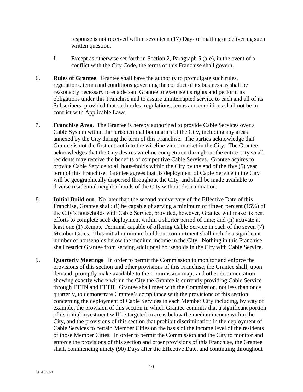response is not received within seventeen (17) Days of mailing or delivering such written question.

- f. Except as otherwise set forth in Section 2, Paragraph 5 (a-e), in the event of a conflict with the City Code, the terms of this Franchise shall govern.
- 6. **Rules of Grantee**. Grantee shall have the authority to promulgate such rules, regulations, terms and conditions governing the conduct of its business as shall be reasonably necessary to enable said Grantee to exercise its rights and perform its obligations under this Franchise and to assure uninterrupted service to each and all of its Subscribers; provided that such rules, regulations, terms and conditions shall not be in conflict with Applicable Laws.
- 7. **Franchise Area**. The Grantee is hereby authorized to provide Cable Services over a Cable System within the jurisdictional boundaries of the City, including any areas annexed by the City during the term of this Franchise. The parties acknowledge that Grantee is not the first entrant into the wireline video market in the City. The Grantee acknowledges that the City desires wireline competition throughout the entire City so all residents may receive the benefits of competitive Cable Services. Grantee aspires to provide Cable Service to all households within the City by the end of the five (5) year term of this Franchise. Grantee agrees that its deployment of Cable Service in the City will be geographically dispersed throughout the City, and shall be made available to diverse residential neighborhoods of the City without discrimination.
- 8. **Initial Build out**. No later than the second anniversary of the Effective Date of this Franchise, Grantee shall: (i) be capable of serving a minimum of fifteen percent (15%) of the City's households with Cable Service, provided, however, Grantee will make its best efforts to complete such deployment within a shorter period of time; and (ii) activate at least one (1) Remote Terminal capable of offering Cable Service in each of the seven (7) Member Cities. This initial minimum build-out commitment shall include a significant number of households below the medium income in the City. Nothing in this Franchise shall restrict Grantee from serving additional households in the City with Cable Service.
- 9. **Quarterly Meetings**. In order to permit the Commission to monitor and enforce the provisions of this section and other provisions of this Franchise, the Grantee shall, upon demand, promptly make available to the Commission maps and other documentation showing exactly where within the City the Grantee is currently providing Cable Service through FTTN and FTTH. Grantee shall meet with the Commission, not less than once quarterly, to demonstrate Grantee's compliance with the provisions of this section concerning the deployment of Cable Services in each Member City including, by way of example, the provision of this section in which Grantee commits that a significant portion of its initial investment will be targeted to areas below the median income within the City, and the provisions of this section that prohibit discrimination in the deployment of Cable Services to certain Member Cities on the basis of the income level of the residents of those Member Cities. In order to permit the Commission and the City to monitor and enforce the provisions of this section and other provisions of this Franchise, the Grantee shall, commencing ninety (90) Days after the Effective Date, and continuing throughout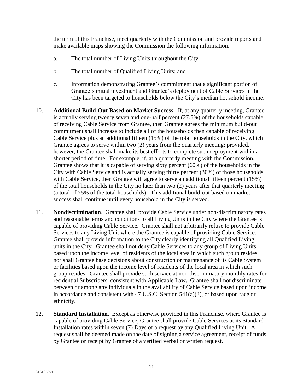the term of this Franchise, meet quarterly with the Commission and provide reports and make available maps showing the Commission the following information:

- a. The total number of Living Units throughout the City;
- b. The total number of Qualified Living Units; and
- c. Information demonstrating Grantee's commitment that a significant portion of Grantee's initial investment and Grantee's deployment of Cable Services in the City has been targeted to households below the City's median household income.
- 10. **Additional Build-Out Based on Market Success**. If, at any quarterly meeting, Grantee is actually serving twenty seven and one-half percent (27.5%) of the households capable of receiving Cable Service from Grantee, then Grantee agrees the minimum build-out commitment shall increase to include all of the households then capable of receiving Cable Service plus an additional fifteen (15%) of the total households in the City, which Grantee agrees to serve within two (2) years from the quarterly meeting; provided, however, the Grantee shall make its best efforts to complete such deployment within a shorter period of time. For example, if, at a quarterly meeting with the Commission, Grantee shows that it is capable of serving sixty percent (60%) of the households in the City with Cable Service and is actually serving thirty percent (30%) of those households with Cable Service, then Grantee will agree to serve an additional fifteen percent (15%) of the total households in the City no later than two (2) years after that quarterly meeting (a total of 75% of the total households). This additional build-out based on market success shall continue until every household in the City is served.
- 11. **Nondiscrimination**. Grantee shall provide Cable Service under non-discriminatory rates and reasonable terms and conditions to all Living Units in the City where the Grantee is capable of providing Cable Service. Grantee shall not arbitrarily refuse to provide Cable Services to any Living Unit where the Grantee is capable of providing Cable Service. Grantee shall provide information to the City clearly identifying all Qualified Living units in the City. Grantee shall not deny Cable Services to any group of Living Units based upon the income level of residents of the local area in which such group resides, nor shall Grantee base decisions about construction or maintenance of its Cable System or facilities based upon the income level of residents of the local area in which such group resides. Grantee shall provide such service at non-discriminatory monthly rates for residential Subscribers, consistent with Applicable Law. Grantee shall not discriminate between or among any individuals in the availability of Cable Service based upon income in accordance and consistent with 47 U.S.C. Section 541(a)(3), or based upon race or ethnicity.
- 12. **Standard Installation**. Except as otherwise provided in this Franchise, where Grantee is capable of providing Cable Service, Grantee shall provide Cable Services at its Standard Installation rates within seven (7) Days of a request by any Qualified Living Unit. A request shall be deemed made on the date of signing a service agreement, receipt of funds by Grantee or receipt by Grantee of a verified verbal or written request.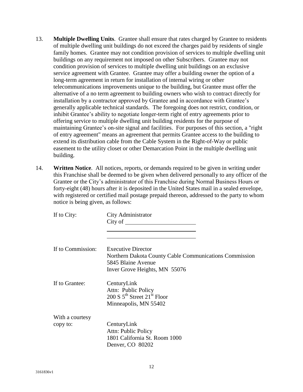- 13. **Multiple Dwelling Units**. Grantee shall ensure that rates charged by Grantee to residents of multiple dwelling unit buildings do not exceed the charges paid by residents of single family homes. Grantee may not condition provision of services to multiple dwelling unit buildings on any requirement not imposed on other Subscribers. Grantee may not condition provision of services to multiple dwelling unit buildings on an exclusive service agreement with Grantee. Grantee may offer a building owner the option of a long-term agreement in return for installation of internal wiring or other telecommunications improvements unique to the building, but Grantee must offer the alternative of a no term agreement to building owners who wish to contract directly for installation by a contractor approved by Grantee and in accordance with Grantee's generally applicable technical standards. The foregoing does not restrict, condition, or inhibit Grantee's ability to negotiate longer-term right of entry agreements prior to offering service to multiple dwelling unit building residents for the purpose of maintaining Grantee's on-site signal and facilities. For purposes of this section, a "right of entry agreement" means an agreement that permits Grantee access to the building to extend its distribution cable from the Cable System in the Right-of-Way or public easement to the utility closet or other Demarcation Point in the multiple dwelling unit building.
- 14. **Written Notice**. All notices, reports, or demands required to be given in writing under this Franchise shall be deemed to be given when delivered personally to any officer of the Grantee or the City's administrator of this Franchise during Normal Business Hours or forty-eight (48) hours after it is deposited in the United States mail in a sealed envelope, with registered or certified mail postage prepaid thereon, addressed to the party to whom notice is being given, as follows:

| If to City:       | City Administrator<br>City of $\_\_$                                                                                                       |
|-------------------|--------------------------------------------------------------------------------------------------------------------------------------------|
| If to Commission: | <b>Executive Director</b><br>Northern Dakota County Cable Communications Commission<br>5845 Blaine Avenue<br>Inver Grove Heights, MN 55076 |
| If to Grantee:    | CenturyLink<br>Attn: Public Policy<br>200 S $5^{th}$ Street 21 <sup>st</sup> Floor<br>Minneapolis, MN 55402                                |
| With a courtesy   |                                                                                                                                            |
| copy to:          | CenturyLink<br>Attn: Public Policy<br>1801 California St. Room 1000<br>Denver, CO 80202                                                    |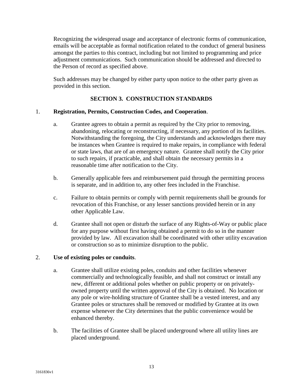Recognizing the widespread usage and acceptance of electronic forms of communication, emails will be acceptable as formal notification related to the conduct of general business amongst the parties to this contract, including but not limited to programming and price adjustment communications. Such communication should be addressed and directed to the Person of record as specified above.

Such addresses may be changed by either party upon notice to the other party given as provided in this section.

## **SECTION 3. CONSTRUCTION STANDARDS**

#### 1. **Registration, Permits, Construction Codes, and Cooperation**.

- a. Grantee agrees to obtain a permit as required by the City prior to removing, abandoning, relocating or reconstructing, if necessary, any portion of its facilities. Notwithstanding the foregoing, the City understands and acknowledges there may be instances when Grantee is required to make repairs, in compliance with federal or state laws, that are of an emergency nature. Grantee shall notify the City prior to such repairs, if practicable, and shall obtain the necessary permits in a reasonable time after notification to the City.
- b. Generally applicable fees and reimbursement paid through the permitting process is separate, and in addition to, any other fees included in the Franchise.
- c. Failure to obtain permits or comply with permit requirements shall be grounds for revocation of this Franchise, or any lesser sanctions provided herein or in any other Applicable Law.
- d. Grantee shall not open or disturb the surface of any Rights-of-Way or public place for any purpose without first having obtained a permit to do so in the manner provided by law. All excavation shall be coordinated with other utility excavation or construction so as to minimize disruption to the public.

#### 2. **Use of existing poles or conduits**.

- a. Grantee shall utilize existing poles, conduits and other facilities whenever commercially and technologically feasible, and shall not construct or install any new, different or additional poles whether on public property or on privatelyowned property until the written approval of the City is obtained. No location or any pole or wire-holding structure of Grantee shall be a vested interest, and any Grantee poles or structures shall be removed or modified by Grantee at its own expense whenever the City determines that the public convenience would be enhanced thereby.
- b. The facilities of Grantee shall be placed underground where all utility lines are placed underground.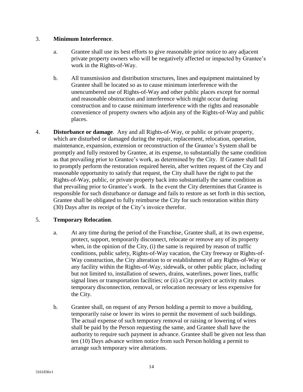#### 3. **Minimum Interference**.

- a. Grantee shall use its best efforts to give reasonable prior notice to any adjacent private property owners who will be negatively affected or impacted by Grantee's work in the Rights-of-Way.
- b. All transmission and distribution structures, lines and equipment maintained by Grantee shall be located so as to cause minimum interference with the unencumbered use of Rights-of-Way and other public places except for normal and reasonable obstruction and interference which might occur during construction and to cause minimum interference with the rights and reasonable convenience of property owners who adjoin any of the Rights-of-Way and public places.
- 4. **Disturbance or damage**. Any and all Rights-of-Way, or public or private property, which are disturbed or damaged during the repair, replacement, relocation, operation, maintenance, expansion, extension or reconstruction of the Grantee's System shall be promptly and fully restored by Grantee, at its expense, to substantially the same condition as that prevailing prior to Grantee's work, as determined by the City. If Grantee shall fail to promptly perform the restoration required herein, after written request of the City and reasonable opportunity to satisfy that request, the City shall have the right to put the Rights-of-Way, public, or private property back into substantially the same condition as that prevailing prior to Grantee's work. In the event the City determines that Grantee is responsible for such disturbance or damage and fails to restore as set forth in this section, Grantee shall be obligated to fully reimburse the City for such restoration within thirty (30) Days after its receipt of the City's invoice therefor.

## 5. **Temporary Relocation**.

- a. At any time during the period of the Franchise, Grantee shall, at its own expense, protect, support, temporarily disconnect, relocate or remove any of its property when, in the opinion of the City, (i) the same is required by reason of traffic conditions, public safety, Rights-of-Way vacation, the City freeway or Rights-of-Way construction, the City alteration to or establishment of any Rights-of-Way or any facility within the Rights-of-Way, sidewalk, or other public place, including but not limited to, installation of sewers, drains, waterlines, power lines, traffic signal lines or transportation facilities; or (ii) a City project or activity makes temporary disconnection, removal, or relocation necessary or less expensive for the City.
- b. Grantee shall, on request of any Person holding a permit to move a building, temporarily raise or lower its wires to permit the movement of such buildings. The actual expense of such temporary removal or raising or lowering of wires shall be paid by the Person requesting the same, and Grantee shall have the authority to require such payment in advance. Grantee shall be given not less than ten (10) Days advance written notice from such Person holding a permit to arrange such temporary wire alterations.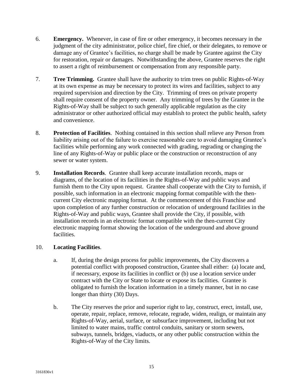- 6. **Emergency.** Whenever, in case of fire or other emergency, it becomes necessary in the judgment of the city administrator, police chief, fire chief, or their delegates, to remove or damage any of Grantee's facilities, no charge shall be made by Grantee against the City for restoration, repair or damages. Notwithstanding the above, Grantee reserves the right to assert a right of reimbursement or compensation from any responsible party.
- 7. **Tree Trimming.** Grantee shall have the authority to trim trees on public Rights-of-Way at its own expense as may be necessary to protect its wires and facilities, subject to any required supervision and direction by the City. Trimming of trees on private property shall require consent of the property owner. Any trimming of trees by the Grantee in the Rights-of-Way shall be subject to such generally applicable regulation as the city administrator or other authorized official may establish to protect the public health, safety and convenience.
- 8. **Protection of Facilities**. Nothing contained in this section shall relieve any Person from liability arising out of the failure to exercise reasonable care to avoid damaging Grantee's facilities while performing any work connected with grading, regrading or changing the line of any Rights-of-Way or public place or the construction or reconstruction of any sewer or water system.
- 9. **Installation Records**. Grantee shall keep accurate installation records, maps or diagrams, of the location of its facilities in the Rights-of-Way and public ways and furnish them to the City upon request. Grantee shall cooperate with the City to furnish, if possible, such information in an electronic mapping format compatible with the thencurrent City electronic mapping format. At the commencement of this Franchise and upon completion of any further construction or relocation of underground facilities in the Rights-of-Way and public ways, Grantee shall provide the City, if possible, with installation records in an electronic format compatible with the then-current City electronic mapping format showing the location of the underground and above ground facilities.

## 10. **Locating Facilities**.

- a. If, during the design process for public improvements, the City discovers a potential conflict with proposed construction, Grantee shall either: (a) locate and, if necessary, expose its facilities in conflict or (b) use a location service under contract with the City or State to locate or expose its facilities. Grantee is obligated to furnish the location information in a timely manner, but in no case longer than thirty (30) Days.
- b. The City reserves the prior and superior right to lay, construct, erect, install, use, operate, repair, replace, remove, relocate, regrade, widen, realign, or maintain any Rights-of-Way, aerial, surface, or subsurface improvement, including but not limited to water mains, traffic control conduits, sanitary or storm sewers, subways, tunnels, bridges, viaducts, or any other public construction within the Rights-of-Way of the City limits.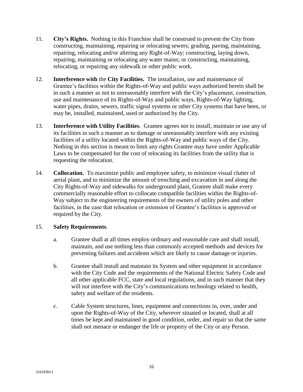- 11. **City's Rights.** Nothing in this Franchise shall be construed to prevent the City from constructing, maintaining, repairing or relocating sewers; grading, paving, maintaining, repairing, relocating and/or altering any Right-of-Way; constructing, laying down, repairing, maintaining or relocating any water mains; or constructing, maintaining, relocating, or repairing any sidewalk or other public work.
- 12. **Interference with** the **City Facilities.** The installation, use and maintenance of Grantee's facilities within the Rights-of-Way and public ways authorized herein shall be in such a manner as not to unreasonably interfere with the City's placement, construction, use and maintenance of its Rights-of-Way and public ways, Rights-of-Way lighting, water pipes, drains, sewers, traffic signal systems or other City systems that have been, or may be, installed, maintained, used or authorized by the City.
- 13. **Interference with Utility Facilities**. Grantee agrees not to install, maintain or use any of its facilities in such a manner as to damage or unreasonably interfere with any existing facilities of a utility located within the Rights-of-Way and public ways of the City. Nothing in this section is meant to limit any rights Grantee may have under Applicable Laws to be compensated for the cost of relocating its facilities from the utility that is requesting the relocation.
- 14. **Collocation.** To maximize public and employee safety, to minimize visual clutter of aerial plant, and to minimize the amount of trenching and excavation in and along the City Rights-of-Way and sidewalks for underground plant, Grantee shall make every commercially reasonable effort to collocate compatible facilities within the Rights-of-Way subject to the engineering requirements of the owners of utility poles and other facilities, in the case that relocation or extension of Grantee's facilities is approved or required by the City.

## 15. **Safety Requirements**.

- a. Grantee shall at all times employ ordinary and reasonable care and shall install, maintain, and use nothing less than commonly accepted methods and devices for preventing failures and accidents which are likely to cause damage or injuries.
- b. Grantee shall install and maintain its System and other equipment in accordance with the City Code and the requirements of the National Electric Safety Code and all other applicable FCC, state and local regulations, and in such manner that they will not interfere with the City's communications technology related to health, safety and welfare of the residents.
- c. Cable System structures, lines, equipment and connections in, over, under and upon the Rights-of-Way of the City, wherever situated or located, shall at all times be kept and maintained in good condition, order, and repair so that the same shall not menace or endanger the life or property of the City or any Person.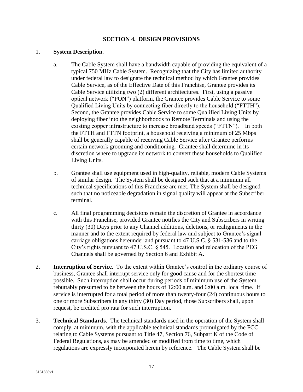#### **SECTION 4. DESIGN PROVISIONS**

#### 1. **System Description**.

- a. The Cable System shall have a bandwidth capable of providing the equivalent of a typical 750 MHz Cable System. Recognizing that the City has limited authority under federal law to designate the technical method by which Grantee provides Cable Service, as of the Effective Date of this Franchise, Grantee provides its Cable Service utilizing two (2) different architectures. First, using a passive optical network ("PON") platform, the Grantee provides Cable Service to some Qualified Living Units by connecting fiber directly to the household ("FTTH"). Second, the Grantee provides Cable Service to some Qualified Living Units by deploying fiber into the neighborhoods to Remote Terminals and using the existing copper infrastructure to increase broadband speeds ("FTTN"). In both the FTTH and FTTN footprint, a household receiving a minimum of 25 Mbps shall be generally capable of receiving Cable Service after Grantee performs certain network grooming and conditioning. Grantee shall determine in its discretion where to upgrade its network to convert these households to Qualified Living Units.
- b. Grantee shall use equipment used in high-quality, reliable, modern Cable Systems of similar design. The System shall be designed such that at a minimum all technical specifications of this Franchise are met. The System shall be designed such that no noticeable degradation in signal quality will appear at the Subscriber terminal.
- c. All final programming decisions remain the discretion of Grantee in accordance with this Franchise, provided Grantee notifies the City and Subscribers in writing thirty (30) Days prior to any Channel additions, deletions, or realignments in the manner and to the extent required by federal law and subject to Grantee's signal carriage obligations hereunder and pursuant to 47 U.S.C. § 531-536 and to the City's rights pursuant to 47 U.S.C. § 545. Location and relocation of the PEG Channels shall be governed by Section 6 and Exhibit A.
- 2. **Interruption of Service**. To the extent within Grantee's control in the ordinary course of business, Grantee shall interrupt service only for good cause and for the shortest time possible. Such interruption shall occur during periods of minimum use of the System rebuttably presumed to be between the hours of 12:00 a.m. and 6:00 a.m. local time. If service is interrupted for a total period of more than twenty-four (24) continuous hours to one or more Subscribers in any thirty (30) Day period, those Subscribers shall, upon request, be credited pro rata for such interruption.
- 3. **Technical Standards**. The technical standards used in the operation of the System shall comply, at minimum, with the applicable technical standards promulgated by the FCC relating to Cable Systems pursuant to Title 47, Section 76, Subpart K of the Code of Federal Regulations, as may be amended or modified from time to time, which regulations are expressly incorporated herein by reference. The Cable System shall be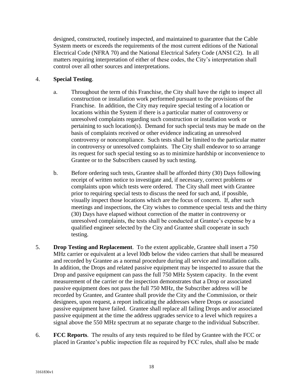designed, constructed, routinely inspected, and maintained to guarantee that the Cable System meets or exceeds the requirements of the most current editions of the National Electrical Code (NFRA 70) and the National Electrical Safety Code (ANSI C2). In all matters requiring interpretation of either of these codes, the City's interpretation shall control over all other sources and interpretations.

## 4. **Special Testing**.

- a. Throughout the term of this Franchise, the City shall have the right to inspect all construction or installation work performed pursuant to the provisions of the Franchise. In addition, the City may require special testing of a location or locations within the System if there is a particular matter of controversy or unresolved complaints regarding such construction or installation work or pertaining to such location(s). Demand for such special tests may be made on the basis of complaints received or other evidence indicating an unresolved controversy or noncompliance. Such tests shall be limited to the particular matter in controversy or unresolved complaints. The City shall endeavor to so arrange its request for such special testing so as to minimize hardship or inconvenience to Grantee or to the Subscribers caused by such testing.
- b. Before ordering such tests, Grantee shall be afforded thirty (30) Days following receipt of written notice to investigate and, if necessary, correct problems or complaints upon which tests were ordered. The City shall meet with Grantee prior to requiring special tests to discuss the need for such and, if possible, visually inspect those locations which are the focus of concern. If, after such meetings and inspections, the City wishes to commence special tests and the thirty (30) Days have elapsed without correction of the matter in controversy or unresolved complaints, the tests shall be conducted at Grantee's expense by a qualified engineer selected by the City and Grantee shall cooperate in such testing.
- 5. **Drop Testing and Replacement**. To the extent applicable, Grantee shall insert a 750 MHz carrier or equivalent at a level l0db below the video carriers that shall be measured and recorded by Grantee as a normal procedure during all service and installation calls. In addition, the Drops and related passive equipment may be inspected to assure that the Drop and passive equipment can pass the full 750 MHz System capacity. In the event measurement of the carrier or the inspection demonstrates that a Drop or associated passive equipment does not pass the full 750 MHz, the Subscriber address will be recorded by Grantee, and Grantee shall provide the City and the Commission, or their designees, upon request, a report indicating the addresses where Drops or associated passive equipment have failed. Grantee shall replace all failing Drops and/or associated passive equipment at the time the address upgrades service to a level which requires a signal above the 550 MHz spectrum at no separate charge to the individual Subscriber.
- 6. **FCC Reports**. The results of any tests required to be filed by Grantee with the FCC or placed in Grantee's public inspection file as required by FCC rules, shall also be made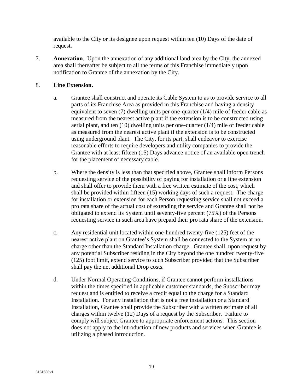available to the City or its designee upon request within ten (10) Days of the date of request.

7. **Annexation**. Upon the annexation of any additional land area by the City, the annexed area shall thereafter be subject to all the terms of this Franchise immediately upon notification to Grantee of the annexation by the City.

## 8. **Line Extension.**

- a. Grantee shall construct and operate its Cable System to as to provide service to all parts of its Franchise Area as provided in this Franchise and having a density equivalent to seven (7) dwelling units per one-quarter (1/4) mile of feeder cable as measured from the nearest active plant if the extension is to be constructed using aerial plant, and ten (10) dwelling units per one-quarter (1/4) mile of feeder cable as measured from the nearest active plant if the extension is to be constructed using underground plant. The City, for its part, shall endeavor to exercise reasonable efforts to require developers and utility companies to provide the Grantee with at least fifteen (15) Days advance notice of an available open trench for the placement of necessary cable.
- b. Where the density is less than that specified above, Grantee shall inform Persons requesting service of the possibility of paying for installation or a line extension and shall offer to provide them with a free written estimate of the cost, which shall be provided within fifteen (15) working days of such a request. The charge for installation or extension for each Person requesting service shall not exceed a pro rata share of the actual cost of extending the service and Grantee shall not be obligated to extend its System until seventy-five percent (75%) of the Persons requesting service in such area have prepaid their pro rata share of the extension.
- c. Any residential unit located within one-hundred twenty-five (125) feet of the nearest active plant on Grantee's System shall be connected to the System at no charge other than the Standard Installation charge. Grantee shall, upon request by any potential Subscriber residing in the City beyond the one hundred twenty-five (125) foot limit, extend service to such Subscriber provided that the Subscriber shall pay the net additional Drop costs.
- d. Under Normal Operating Conditions, if Grantee cannot perform installations within the times specified in applicable customer standards, the Subscriber may request and is entitled to receive a credit equal to the charge for a Standard Installation. For any installation that is not a free installation or a Standard Installation, Grantee shall provide the Subscriber with a written estimate of all charges within twelve (12) Days of a request by the Subscriber. Failure to comply will subject Grantee to appropriate enforcement actions. This section does not apply to the introduction of new products and services when Grantee is utilizing a phased introduction.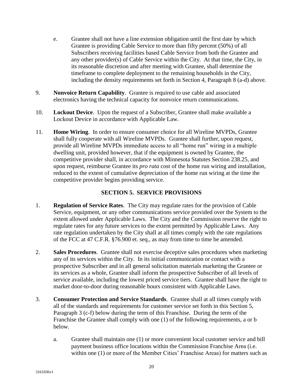- e. Grantee shall not have a line extension obligation until the first date by which Grantee is providing Cable Service to more than fifty percent (50%) of all Subscribers receiving facilities based Cable Service from both the Grantee and any other provider(s) of Cable Service within the City. At that time, the City, in its reasonable discretion and after meeting with Grantee, shall determine the timeframe to complete deployment to the remaining households in the City, including the density requirements set forth in Section 4, Paragraph 8 (a-d) above.
- 9. **Nonvoice Return Capability**. Grantee is required to use cable and associated electronics having the technical capacity for nonvoice return communications.
- 10. **Lockout Device**. Upon the request of a Subscriber, Grantee shall make available a Lockout Device in accordance with Applicable Law.
- 11. **Home Wiring**. In order to ensure consumer choice for all Wireline MVPDs, Grantee shall fully cooperate with all Wireline MVPDs. Grantee shall further, upon request, provide all Wireline MVPDs immediate access to all "home run" wiring in a multiple dwelling unit, provided however, that if the equipment is owned by Grantee, the competitive provider shall, in accordance with Minnesota Statutes Section 238.25, and upon request, reimburse Grantee its *pro rata* cost of the home run wiring and installation, reduced to the extent of cumulative depreciation of the home run wiring at the time the competitive provider begins providing service.

#### **SECTION 5. SERVICE PROVISIONS**

- 1. **Regulation of Service Rates**. The City may regulate rates for the provision of Cable Service, equipment, or any other communications service provided over the System to the extent allowed under Applicable Laws. The City and the Commission reserve the right to regulate rates for any future services to the extent permitted by Applicable Laws. Any rate regulation undertaken by the City shall at all times comply with the rate regulations of the FCC at 47 C.F.R. §76.900 et. seq., as may from time to time be amended.
- 2. **Sales Procedures**. Grantee shall not exercise deceptive sales procedures when marketing any of its services within the City. In its initial communication or contact with a prospective Subscriber and in all general solicitation materials marketing the Grantee or its services as a whole, Grantee shall inform the prospective Subscriber of all levels of service available, including the lowest priced service tiers. Grantee shall have the right to market door-to-door during reasonable hours consistent with Applicable Laws.
- 3. **Consumer Protection and Service Standards**. Grantee shall at all times comply with all of the standards and requirements for customer service set forth in this Section 5, Paragraph 3 (c-f) below during the term of this Franchise. During the term of the Franchise the Grantee shall comply with one (1) of the following requirements, a or b below.
	- a. Grantee shall maintain one (1) or more convenient local customer service and bill payment business office locations within the Commission Franchise Area (i.e. within one (1) or more of the Member Cities' Franchise Areas) for matters such as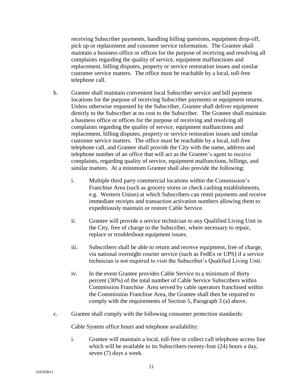receiving Subscriber payments, handling billing questions, equipment drop-off, pick up or replacement and customer service information. The Grantee shall maintain a business office or offices for the purpose of receiving and resolving all complaints regarding the quality of service, equipment malfunctions and replacement, billing disputes, property or service restoration issues and similar customer service matters. The office must be reachable by a local, toll-free telephone call.

- b. Grantee shall maintain convenient local Subscriber service and bill payment locations for the purpose of receiving Subscriber payments or equipment returns. Unless otherwise requested by the Subscriber, Grantee shall deliver equipment directly to the Subscriber at no cost to the Subscriber. The Grantee shall maintain a business office or offices for the purpose of receiving and resolving all complaints regarding the quality of service, equipment malfunctions and replacement, billing disputes, property or service restoration issues and similar customer service matters. The office must be reachable by a local, toll-free telephone call, and Grantee shall provide the City with the name, address and telephone number of an office that will act as the Grantee's agent to receive complaints, regarding quality of service, equipment malfunctions, billings, and similar matters. At a minimum Grantee shall also provide the following:
	- i. Multiple third party commercial locations within the Commission's Franchise Area (such as grocery stores or check cashing establishments, e.g. Western Union) at which Subscribers can remit payments and receive immediate receipts and transaction activation numbers allowing them to expeditiously maintain or restore Cable Service.
	- ii. Grantee will provide a service technician to any Qualified Living Unit in the City, free of charge to the Subscriber, where necessary to repair, replace or troubleshoot equipment issues.
	- iii. Subscribers shall be able to return and receive equipment, free of charge, via national overnight courier service (such as FedEx or UPS) if a service technician is not required to visit the Subscriber's Qualified Living Unit.
	- iv. In the event Grantee provides Cable Service to a minimum of thirty percent (30%) of the total number of Cable Service Subscribers within Commission Franchise Area served by cable operators franchised within the Commission Franchise Area, the Grantee shall then be required to comply with the requirements of Section 5, Paragraph 3 (a) above.
- c. Grantee shall comply with the following consumer protection standards:

Cable System office hours and telephone availability:

i. Grantee will maintain a local, toll-free or collect call telephone access line which will be available to its Subscribers twenty-four  $(24)$  hours a day, seven (7) days a week.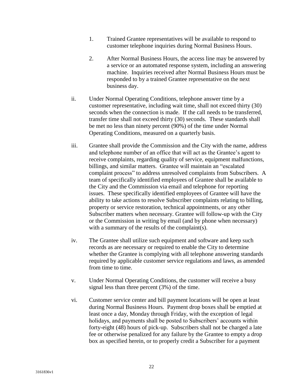- 1. Trained Grantee representatives will be available to respond to customer telephone inquiries during Normal Business Hours.
- 2. After Normal Business Hours, the access line may be answered by a service or an automated response system, including an answering machine. Inquiries received after Normal Business Hours must be responded to by a trained Grantee representative on the next business day.
- ii. Under Normal Operating Conditions, telephone answer time by a customer representative, including wait time, shall not exceed thirty (30) seconds when the connection is made. If the call needs to be transferred, transfer time shall not exceed thirty (30) seconds. These standards shall be met no less than ninety percent (90%) of the time under Normal Operating Conditions, measured on a quarterly basis.
- iii. Grantee shall provide the Commission and the City with the name, address and telephone number of an office that will act as the Grantee's agent to receive complaints, regarding quality of service, equipment malfunctions, billings, and similar matters. Grantee will maintain an "escalated complaint process" to address unresolved complaints from Subscribers. A team of specifically identified employees of Grantee shall be available to the City and the Commission via email and telephone for reporting issues. These specifically identified employees of Grantee will have the ability to take actions to resolve Subscriber complaints relating to billing, property or service restoration, technical appointments, or any other Subscriber matters when necessary. Grantee will follow-up with the City or the Commission in writing by email (and by phone when necessary) with a summary of the results of the complaint(s).
- iv. The Grantee shall utilize such equipment and software and keep such records as are necessary or required to enable the City to determine whether the Grantee is complying with all telephone answering standards required by applicable customer service regulations and laws, as amended from time to time.
- v. Under Normal Operating Conditions, the customer will receive a busy signal less than three percent (3%) of the time.
- vi. Customer service center and bill payment locations will be open at least during Normal Business Hours. Payment drop boxes shall be emptied at least once a day, Monday through Friday, with the exception of legal holidays, and payments shall be posted to Subscribers' accounts within forty-eight (48) hours of pick-up. Subscribers shall not be charged a late fee or otherwise penalized for any failure by the Grantee to empty a drop box as specified herein, or to properly credit a Subscriber for a payment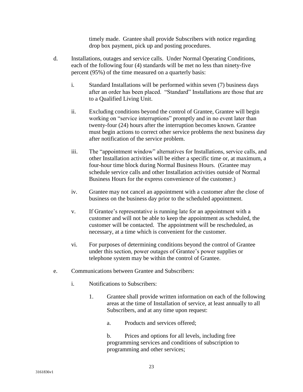timely made. Grantee shall provide Subscribers with notice regarding drop box payment, pick up and posting procedures.

- d. Installations, outages and service calls. Under Normal Operating Conditions, each of the following four (4) standards will be met no less than ninety-five percent (95%) of the time measured on a quarterly basis:
	- i. Standard Installations will be performed within seven (7) business days after an order has been placed. "Standard" Installations are those that are to a Qualified Living Unit.
	- ii. Excluding conditions beyond the control of Grantee, Grantee will begin working on "service interruptions" promptly and in no event later than twenty-four (24) hours after the interruption becomes known. Grantee must begin actions to correct other service problems the next business day after notification of the service problem.
	- iii. The "appointment window" alternatives for Installations, service calls, and other Installation activities will be either a specific time or, at maximum, a four-hour time block during Normal Business Hours. (Grantee may schedule service calls and other Installation activities outside of Normal Business Hours for the express convenience of the customer.)
	- iv. Grantee may not cancel an appointment with a customer after the close of business on the business day prior to the scheduled appointment.
	- v. If Grantee's representative is running late for an appointment with a customer and will not be able to keep the appointment as scheduled, the customer will be contacted. The appointment will be rescheduled, as necessary, at a time which is convenient for the customer.
	- vi. For purposes of determining conditions beyond the control of Grantee under this section, power outages of Grantee's power supplies or telephone system may be within the control of Grantee.
- e. Communications between Grantee and Subscribers:
	- i. Notifications to Subscribers:
		- 1. Grantee shall provide written information on each of the following areas at the time of Installation of service, at least annually to all Subscribers, and at any time upon request:
			- a. Products and services offered;
			- b. Prices and options for all levels, including free programming services and conditions of subscription to programming and other services;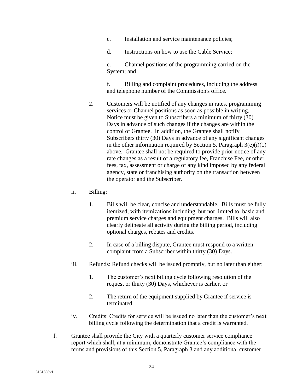- c. Installation and service maintenance policies;
- d. Instructions on how to use the Cable Service;

e. Channel positions of the programming carried on the System; and

f. Billing and complaint procedures, including the address and telephone number of the Commission's office.

- 2. Customers will be notified of any changes in rates, programming services or Channel positions as soon as possible in writing. Notice must be given to Subscribers a minimum of thirty (30) Days in advance of such changes if the changes are within the control of Grantee. In addition, the Grantee shall notify Subscribers thirty (30) Days in advance of any significant changes in the other information required by Section 5, Paragraph  $3(e)(i)(1)$ above. Grantee shall not be required to provide prior notice of any rate changes as a result of a regulatory fee, Franchise Fee, or other fees, tax, assessment or charge of any kind imposed by any federal agency, state or franchising authority on the transaction between the operator and the Subscriber.
- ii. Billing:
	- 1. Bills will be clear, concise and understandable. Bills must be fully itemized, with itemizations including, but not limited to, basic and premium service charges and equipment charges. Bills will also clearly delineate all activity during the billing period, including optional charges, rebates and credits.
	- 2. In case of a billing dispute, Grantee must respond to a written complaint from a Subscriber within thirty (30) Days.
- iii. Refunds: Refund checks will be issued promptly, but no later than either:
	- 1. The customer's next billing cycle following resolution of the request or thirty (30) Days, whichever is earlier, or
	- 2. The return of the equipment supplied by Grantee if service is terminated.
- iv. Credits: Credits for service will be issued no later than the customer's next billing cycle following the determination that a credit is warranted.
- f. Grantee shall provide the City with a quarterly customer service compliance report which shall, at a minimum, demonstrate Grantee's compliance with the terms and provisions of this Section 5, Paragraph 3 and any additional customer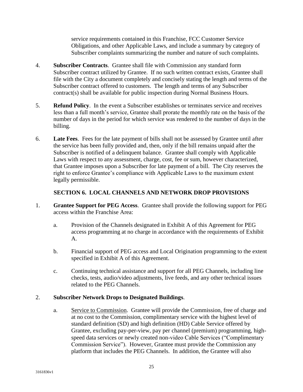service requirements contained in this Franchise, FCC Customer Service Obligations, and other Applicable Laws, and include a summary by category of Subscriber complaints summarizing the number and nature of such complaints.

- 4. **Subscriber Contracts**. Grantee shall file with Commission any standard form Subscriber contract utilized by Grantee. If no such written contract exists, Grantee shall file with the City a document completely and concisely stating the length and terms of the Subscriber contract offered to customers. The length and terms of any Subscriber contract(s) shall be available for public inspection during Normal Business Hours.
- 5. **Refund Policy**. In the event a Subscriber establishes or terminates service and receives less than a full month's service, Grantee shall prorate the monthly rate on the basis of the number of days in the period for which service was rendered to the number of days in the billing.
- 6. **Late Fees**. Fees for the late payment of bills shall not be assessed by Grantee until after the service has been fully provided and, then, only if the bill remains unpaid after the Subscriber is notified of a delinquent balance. Grantee shall comply with Applicable Laws with respect to any assessment, charge, cost, fee or sum, however characterized, that Grantee imposes upon a Subscriber for late payment of a bill. The City reserves the right to enforce Grantee's compliance with Applicable Laws to the maximum extent legally permissible.

## **SECTION 6. LOCAL CHANNELS AND NETWORK DROP PROVISIONS**

- 1. **Grantee Support for PEG Access**. Grantee shall provide the following support for PEG access within the Franchise Area:
	- a. Provision of the Channels designated in Exhibit A of this Agreement for PEG access programming at no charge in accordance with the requirements of Exhibit A.
	- b. Financial support of PEG access and Local Origination programming to the extent specified in Exhibit A of this Agreement.
	- c. Continuing technical assistance and support for all PEG Channels, including line checks, tests, audio/video adjustments, live feeds, and any other technical issues related to the PEG Channels.

## 2. **Subscriber Network Drops to Designated Buildings**.

a. Service to Commission. Grantee will provide the Commission, free of charge and at no cost to the Commission, complimentary service with the highest level of standard definition (SD) and high definition (HD) Cable Service offered by Grantee, excluding pay-per-view, pay per channel (premium) programming, highspeed data services or newly created non-video Cable Services ("Complimentary Commission Service"). However, Grantee must provide the Commission any platform that includes the PEG Channels. In addition, the Grantee will also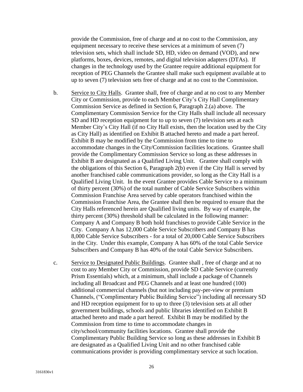provide the Commission, free of charge and at no cost to the Commission, any equipment necessary to receive these services at a minimum of seven (7) television sets, which shall include SD, HD, video on demand (VOD), and new platforms, boxes, devices, remotes, and digital television adapters (DTAs). If changes in the technology used by the Grantee require additional equipment for reception of PEG Channels the Grantee shall make such equipment available at to up to seven (7) television sets free of charge and at no cost to the Commission.

- b. Service to City Halls. Grantee shall, free of charge and at no cost to any Member City or Commission, provide to each Member City's City Hall Complimentary Commission Service as defined in Section 6, Paragraph 2.(a) above. The Complimentary Commission Service for the City Halls shall include all necessary SD and HD reception equipment for to up to seven (7) television sets at each Member City's City Hall (if no City Hall exists, then the location used by the City as City Hall) as identified on Exhibit B attached hereto and made a part hereof. Exhibit B may be modified by the Commission from time to time to accommodate changes in the City/Commission facilities locations. Grantee shall provide the Complimentary Commission Service so long as these addresses in Exhibit B are designated as a Qualified Living Unit. Grantee shall comply with the obligations of this Section 6, Paragraph 2(b) even if the City Hall is served by another franchised cable communications provider, so long as the City Hall is a Qualified Living Unit. In the event Grantee provides Cable Service to a minimum of thirty percent (30%) of the total number of Cable Service Subscribers within Commission Franchise Area served by cable operators franchised within the Commission Franchise Area, the Grantee shall then be required to ensure that the City Halls referenced herein are Qualified living units. By way of example, the thirty percent (30%) threshold shall be calculated in the following manner: Company A and Company B both hold franchises to provide Cable Service in the City. Company A has 12,000 Cable Service Subscribers and Company B has 8,000 Cable Service Subscribers - for a total of 20,000 Cable Service Subscribers in the City. Under this example, Company A has 60% of the total Cable Service Subscribers and Company B has 40% of the total Cable Service Subscribers.
- c. Service to Designated Public Buildings. Grantee shall , free of charge and at no cost to any Member City or Commission, provide SD Cable Service (currently Prism Essentials) which, at a minimum, shall include a package of Channels including all Broadcast and PEG Channels and at least one hundred (100) additional commercial channels (but not including pay-per-view or premium Channels, ("Complimentary Public Building Service") including all necessary SD and HD reception equipment for to up to three (3) television sets at all other government buildings, schools and public libraries identified on Exhibit B attached hereto and made a part hereof. Exhibit B may be modified by the Commission from time to time to accommodate changes in city/school/community facilities locations. Grantee shall provide the Complimentary Public Building Service so long as these addresses in Exhibit B are designated as a Qualified Living Unit and no other franchised cable communications provider is providing complimentary service at such location.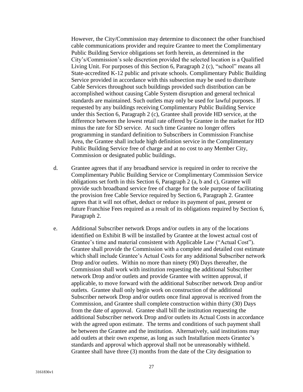However, the City/Commission may determine to disconnect the other franchised cable communications provider and require Grantee to meet the Complimentary Public Building Service obligations set forth herein, as determined in the City's/Commission's sole discretion provided the selected location is a Qualified Living Unit. For purposes of this Section 6, Paragraph 2 (c), "school" means all State-accredited K-12 public and private schools. Complimentary Public Building Service provided in accordance with this subsection may be used to distribute Cable Services throughout such buildings provided such distribution can be accomplished without causing Cable System disruption and general technical standards are maintained. Such outlets may only be used for lawful purposes. If requested by any buildings receiving Complimentary Public Building Service under this Section 6, Paragraph 2 (c), Grantee shall provide HD service, at the difference between the lowest retail rate offered by Grantee in the market for HD minus the rate for SD service. At such time Grantee no longer offers programming in standard definition to Subscribers in Commission Franchise Area, the Grantee shall include high definition service in the Complimentary Public Building Service free of charge and at no cost to any Member City, Commission or designated public buildings.

- d. Grantee agrees that if any broadband service is required in order to receive the Complimentary Public Building Service or Complimentary Commission Service obligations set forth in this Section 6, Paragraph 2 (a, b and c), Grantee will provide such broadband service free of charge for the sole purpose of facilitating the provision free Cable Service required by Section 6, Paragraph 2. Grantee agrees that it will not offset, deduct or reduce its payment of past, present or future Franchise Fees required as a result of its obligations required by Section 6, Paragraph 2.
- e. Additional Subscriber network Drops and/or outlets in any of the locations identified on Exhibit B will be installed by Grantee at the lowest actual cost of Grantee's time and material consistent with Applicable Law ("Actual Cost"). Grantee shall provide the Commission with a complete and detailed cost estimate which shall include Grantee's Actual Costs for any additional Subscriber network Drop and/or outlets. Within no more than ninety (90) Days thereafter, the Commission shall work with institution requesting the additional Subscriber network Drop and/or outlets and provide Grantee with written approval, if applicable, to move forward with the additional Subscriber network Drop and/or outlets. Grantee shall only begin work on construction of the additional Subscriber network Drop and/or outlets once final approval is received from the Commission, and Grantee shall complete construction within thirty (30) Days from the date of approval. Grantee shall bill the institution requesting the additional Subscriber network Drop and/or outlets its Actual Costs in accordance with the agreed upon estimate. The terms and conditions of such payment shall be between the Grantee and the institution. Alternatively, said institutions may add outlets at their own expense, as long as such Installation meets Grantee's standards and approval which approval shall not be unreasonably withheld. Grantee shall have three (3) months from the date of the City designation to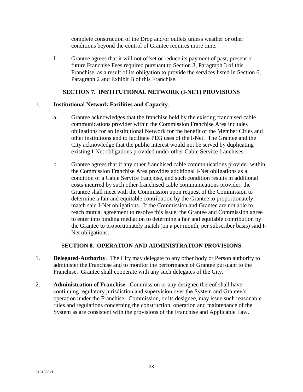complete construction of the Drop and/or outlets unless weather or other conditions beyond the control of Grantee requires more time.

f. Grantee agrees that it will not offset or reduce its payment of past, present or future Franchise Fees required pursuant to Section 8, Paragraph 3 of this Franchise, as a result of its obligation to provide the services listed in Section 6, Paragraph 2 and Exhibit B of this Franchise.

## **SECTION 7. INSTITUTIONAL NETWORK (I-NET) PROVISIONS**

## 1. **Institutional Network Facilities and Capacity**.

- a. Grantee acknowledges that the franchise held by the existing franchised cable communications provider within the Commission Franchise Area includes obligations for an Institutional Network for the benefit of the Member Cities and other institutions and to facilitate PEG uses of the I-Net. The Grantee and the City acknowledge that the public interest would not be served by duplicating existing I-Net obligations provided under other Cable Service franchises.
- b. Grantee agrees that if any other franchised cable communications provider within the Commission Franchise Area provides additional I-Net obligations as a condition of a Cable Service franchise, and such condition results in additional costs incurred by such other franchised cable communications provider, the Grantee shall meet with the Commission upon request of the Commission to determine a fair and equitable contribution by the Grantee to proportionately match said I-Net obligations. If the Commission and Grantee are not able to reach mutual agreement to resolve this issue, the Grantee and Commission agree to enter into binding mediation to determine a fair and equitable contribution by the Grantee to proportionately match (on a per month, per subscriber basis) said I-Net obligations.

## **SECTION 8. OPERATION AND ADMINISTRATION PROVISIONS**

- 1. **Delegated-Authority**. The City may delegate to any other body or Person authority to administer the Franchise and to monitor the performance of Grantee pursuant to the Franchise. Grantee shall cooperate with any such delegates of the City.
- 2. **Administration of Franchise**. Commission or any designee thereof shall have continuing regulatory jurisdiction and supervision over the System and Grantee's operation under the Franchise. Commission, or its designee, may issue such reasonable rules and regulations concerning the construction, operation and maintenance of the System as are consistent with the provisions of the Franchise and Applicable Law.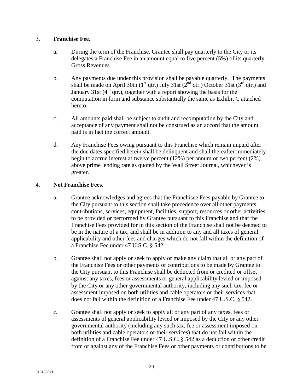#### 3. **Franchise Fee**.

- a. During the term of the Franchise, Grantee shall pay quarterly to the City or its delegates a Franchise Fee in an amount equal to five percent (5%) of its quarterly Gross Revenues.
- b. Any payments due under this provision shall be payable quarterly. The payments shall be made on April 30th ( $1<sup>st</sup>$  qtr.) July 31st ( $2<sup>nd</sup>$  qtr.) October 31st ( $3<sup>rd</sup>$  qtr.) and January 31st  $(4<sup>th</sup> qtr.)$ , together with a report showing the basis for the computation in form and substance substantially the same as Exhibit C attached hereto.
- c. All amounts paid shall be subject to audit and recomputation by the City and acceptance of any payment shall not be construed as an accord that the amount paid is in fact the correct amount.
- d. Any Franchise Fees owing pursuant to this Franchise which remain unpaid after the due dates specified herein shall be delinquent and shall thereafter immediately begin to accrue interest at twelve percent (12%) per annum or two percent (2%) above prime lending rate as quoted by the Wall Street Journal, whichever is greater.

#### 4. **Not Franchise Fees**.

- a. Grantee acknowledges and agrees that the Franchisee Fees payable by Grantee to the City pursuant to this section shall take precedence over all other payments, contributions, services, equipment, facilities, support, resources or other activities to be provided or performed by Grantee pursuant to this Franchise and that the Franchise Fees provided for in this section of the Franchise shall not be deemed to be in the nature of a tax, and shall be in addition to any and all taxes of general applicability and other fees and charges which do not fall within the definition of a Franchise Fee under 47 U.S.C. § 542.
- b. Grantee shall not apply or seek to apply or make any claim that all or any part of the Franchise Fees or other payments or contributions to be made by Grantee to the City pursuant to this Franchise shall be deducted from or credited or offset against any taxes, fees or assessments or general applicability levied or imposed by the City or any other governmental authority, including any such tax, fee or assessment imposed on both utilities and cable operators or their services that does not fall within the definition of a Franchise Fee under 47 U.S.C. § 542.
- c. Grantee shall not apply or seek to apply all or any part of any taxes, fees or assessments of general applicability levied or imposed by the City or any other governmental authority (including any such tax, fee or assessment imposed on both utilities and cable operators or their services) that do not fall within the definition of a Franchise Fee under 47 U.S.C. § 542 as a deduction or other credit from or against any of the Franchise Fees or other payments or contributions to be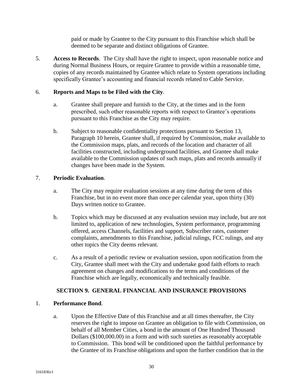paid or made by Grantee to the City pursuant to this Franchise which shall be deemed to be separate and distinct obligations of Grantee.

5. **Access to Records**. The City shall have the right to inspect, upon reasonable notice and during Normal Business Hours, or require Grantee to provide within a reasonable time, copies of any records maintained by Grantee which relate to System operations including specifically Grantee's accounting and financial records related to Cable Service.

## 6. **Reports and Maps to be Filed with the City**.

- a. Grantee shall prepare and furnish to the City, at the times and in the form prescribed, such other reasonable reports with respect to Grantee's operations pursuant to this Franchise as the City may require.
- b. Subject to reasonable confidentiality protections pursuant to Section 13, Paragraph 10 herein, Grantee shall, if required by Commission, make available to the Commission maps, plats, and records of the location and character of all facilities constructed, including underground facilities, and Grantee shall make available to the Commission updates of such maps, plats and records annually if changes have been made in the System.

## 7. **Periodic Evaluation**.

- a. The City may require evaluation sessions at any time during the term of this Franchise, but in no event more than once per calendar year, upon thirty (30) Days written notice to Grantee.
- b. Topics which may be discussed at any evaluation session may include, but are not limited to, application of new technologies, System performance, programming offered, access Channels, facilities and support, Subscriber rates, customer complaints, amendments to this Franchise, judicial rulings, FCC rulings, and any other topics the City deems relevant.
- c. As a result of a periodic review or evaluation session, upon notification from the City, Grantee shall meet with the City and undertake good faith efforts to reach agreement on changes and modifications to the terms and conditions of the Franchise which are legally, economically and technically feasible.

## **SECTION 9. GENERAL FINANCIAL AND INSURANCE PROVISIONS**

## 1. **Performance Bond**.

a. Upon the Effective Date of this Franchise and at all times thereafter, the City reserves the right to impose on Grantee an obligation to file with Commission, on behalf of all Member Cities, a bond in the amount of One Hundred Thousand Dollars (\$100,000.00) in a form and with such sureties as reasonably acceptable to Commission. This bond will be conditioned upon the faithful performance by the Grantee of its Franchise obligations and upon the further condition that in the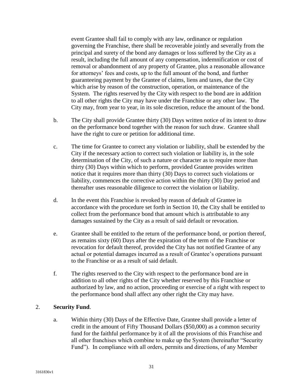event Grantee shall fail to comply with any law, ordinance or regulation governing the Franchise, there shall be recoverable jointly and severally from the principal and surety of the bond any damages or loss suffered by the City as a result, including the full amount of any compensation, indemnification or cost of removal or abandonment of any property of Grantee, plus a reasonable allowance for attorneys' fees and costs, up to the full amount of the bond, and further guaranteeing payment by the Grantee of claims, liens and taxes, due the City which arise by reason of the construction, operation, or maintenance of the System. The rights reserved by the City with respect to the bond are in addition to all other rights the City may have under the Franchise or any other law. The City may, from year to year, in its sole discretion, reduce the amount of the bond.

- b. The City shall provide Grantee thirty (30) Days written notice of its intent to draw on the performance bond together with the reason for such draw. Grantee shall have the right to cure or petition for additional time.
- c. The time for Grantee to correct any violation or liability, shall be extended by the City if the necessary action to correct such violation or liability is, in the sole determination of the City, of such a nature or character as to require more than thirty (30) Days within which to perform, provided Grantee provides written notice that it requires more than thirty (30) Days to correct such violations or liability, commences the corrective action within the thirty (30) Day period and thereafter uses reasonable diligence to correct the violation or liability.
- d. In the event this Franchise is revoked by reason of default of Grantee in accordance with the procedure set forth in Section 10, the City shall be entitled to collect from the performance bond that amount which is attributable to any damages sustained by the City as a result of said default or revocation.
- e. Grantee shall be entitled to the return of the performance bond, or portion thereof, as remains sixty (60) Days after the expiration of the term of the Franchise or revocation for default thereof, provided the City has not notified Grantee of any actual or potential damages incurred as a result of Grantee's operations pursuant to the Franchise or as a result of said default.
- f. The rights reserved to the City with respect to the performance bond are in addition to all other rights of the City whether reserved by this Franchise or authorized by law, and no action, proceeding or exercise of a right with respect to the performance bond shall affect any other right the City may have.

#### 2. **Security Fund**.

a. Within thirty (30) Days of the Effective Date, Grantee shall provide a letter of credit in the amount of Fifty Thousand Dollars (\$50,000) as a common security fund for the faithful performance by it of all the provisions of this Franchise and all other franchises which combine to make up the System (hereinafter "Security Fund"). In compliance with all orders, permits and directions, of any Member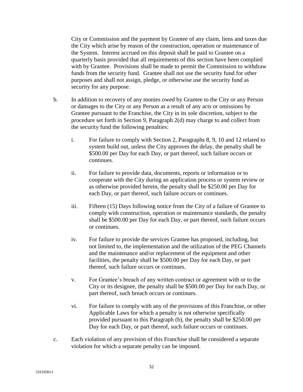City or Commission and the payment by Grantee of any claim, liens and taxes due the City which arise by reason of the construction, operation or maintenance of the System. Interest accrued on this deposit shall be paid to Grantee on a quarterly basis provided that all requirements of this section have been complied with by Grantee. Provisions shall be made to permit the Commission to withdraw funds from the security fund. Grantee shall not use the security fund for other purposes and shall not assign, pledge, or otherwise use the security fund as security for any purpose.

- b. In addition to recovery of any monies owed by Grantee to the City or any Person or damages to the City or any Person as a result of any acts or omissions by Grantee pursuant to the Franchise, the City in its sole discretion, subject to the procedure set forth in Section 9, Paragraph 2(d) may charge to and collect from the security fund the following penalties:
	- i. For failure to comply with Section 2, Paragraphs 8, 9, 10 and 12 related to system build out, unless the City approves the delay, the penalty shall be \$500.00 per Day for each Day, or part thereof, such failure occurs or continues.
	- ii. For failure to provide data, documents, reports or information or to cooperate with the City during an application process or system review or as otherwise provided herein, the penalty shall be \$250.00 per Day for each Day, or part thereof, such failure occurs or continues.
	- iii. Fifteen (15) Days following notice from the City of a failure of Grantee to comply with construction, operation or maintenance standards, the penalty shall be \$500.00 per Day for each Day, or part thereof, such failure occurs or continues.
	- iv. For failure to provide the services Grantee has proposed, including, but not limited to, the implementation and the utilization of the PEG Channels and the maintenance and/or replacement of the equipment and other facilities, the penalty shall be \$500.00 per Day for each Day, or part thereof, such failure occurs or continues.
	- v. For Grantee's breach of any written contract or agreement with or to the City or its designee, the penalty shall be \$500.00 per Day for each Day, or part thereof, such breach occurs or continues.
	- vi. For failure to comply with any of the provisions of this Franchise, or other Applicable Laws for which a penalty is not otherwise specifically provided pursuant to this Paragraph (b), the penalty shall be \$250.00 per Day for each Day, or part thereof, such failure occurs or continues.
- c. Each violation of any provision of this Franchise shall be considered a separate violation for which a separate penalty can be imposed.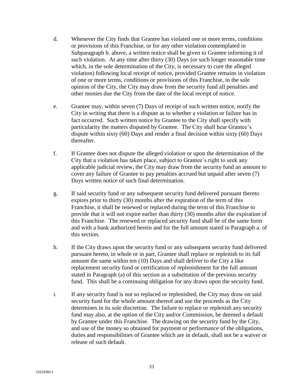- d. Whenever the City finds that Grantee has violated one or more terms, conditions or provisions of this Franchise, or for any other violation contemplated in Subparagraph b. above, a written notice shall be given to Grantee informing it of such violation. At any time after thirty (30) Days (or such longer reasonable time which, in the sole determination of the City, is necessary to cure the alleged violation) following local receipt of notice, provided Grantee remains in violation of one or more terms, conditions or provisions of this Franchise, in the sole opinion of the City, the City may draw from the security fund all penalties and other monies due the City from the date of the local receipt of notice.
- e. Grantee may, within seven (7) Days of receipt of such written notice, notify the City in writing that there is a dispute as to whether a violation or failure has in fact occurred. Such written notice by Grantee to the City shall specify with particularity the matters disputed by Grantee. The City shall hear Grantee's dispute within sixty (60) Days and render a final decision within sixty (60) Days thereafter.
- f. If Grantee does not dispute the alleged violation or upon the determination of the City that a violation has taken place, subject to Grantee's right to seek any applicable judicial review, the City may draw from the security fund an amount to cover any failure of Grantee to pay penalties accrued but unpaid after seven (7) Days written notice of such final determination.
- g. If said security fund or any subsequent security fund delivered pursuant thereto expires prior to thirty (30) months after the expiration of the term of this Franchise, it shall be renewed or replaced during the term of this Franchise to provide that it will not expire earlier than thirty (30) months after the expiration of this Franchise. The renewed or replaced security fund shall be of the same form and with a bank authorized herein and for the full amount stated in Paragraph a. of this section.
- h. If the City draws upon the security fund or any subsequent security fund delivered pursuant hereto, in whole or in part, Grantee shall replace or replenish to its full amount the same within ten (10) Days and shall deliver to the City a like replacement security fund or certification of replenishment for the full amount stated in Paragraph (a) of this section as a substitution of the previous security fund. This shall be a continuing obligation for any draws upon the security fund.
- i. If any security fund is not so replaced or replenished, the City may draw on said security fund for the whole amount thereof and use the proceeds as the City determines in its sole discretion. The failure to replace or replenish any security fund may also, at the option of the City and/or Commission, be deemed a default by Grantee under this Franchise. The drawing on the security fund by the City, and use of the money so obtained for payment or performance of the obligations, duties and responsibilities of Grantee which are in default, shall not be a waiver or release of such default.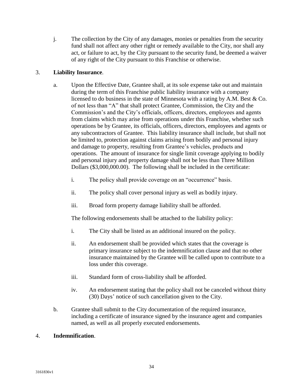j. The collection by the City of any damages, monies or penalties from the security fund shall not affect any other right or remedy available to the City, nor shall any act, or failure to act, by the City pursuant to the security fund, be deemed a waiver of any right of the City pursuant to this Franchise or otherwise.

## 3. **Liability Insurance**.

- a. Upon the Effective Date, Grantee shall, at its sole expense take out and maintain during the term of this Franchise public liability insurance with a company licensed to do business in the state of Minnesota with a rating by A.M. Best & Co. of not less than "A" that shall protect Grantee, Commission, the City and the Commission's and the City's officials, officers, directors, employees and agents from claims which may arise from operations under this Franchise, whether such operations be by Grantee, its officials, officers, directors, employees and agents or any subcontractors of Grantee. This liability insurance shall include, but shall not be limited to, protection against claims arising from bodily and personal injury and damage to property, resulting from Grantee's vehicles, products and operations. The amount of insurance for single limit coverage applying to bodily and personal injury and property damage shall not be less than Three Million Dollars (\$3,000,000.00). The following shall be included in the certificate:
	- i. The policy shall provide coverage on an "occurrence" basis.
	- ii. The policy shall cover personal injury as well as bodily injury.
	- iii. Broad form property damage liability shall be afforded.

The following endorsements shall be attached to the liability policy:

- i. The City shall be listed as an additional insured on the policy.
- ii. An endorsement shall be provided which states that the coverage is primary insurance subject to the indemnification clause and that no other insurance maintained by the Grantee will be called upon to contribute to a loss under this coverage.
- iii. Standard form of cross-liability shall be afforded.
- iv. An endorsement stating that the policy shall not be canceled without thirty (30) Days' notice of such cancellation given to the City.
- b. Grantee shall submit to the City documentation of the required insurance, including a certificate of insurance signed by the insurance agent and companies named, as well as all properly executed endorsements.

## 4. **Indemnification**.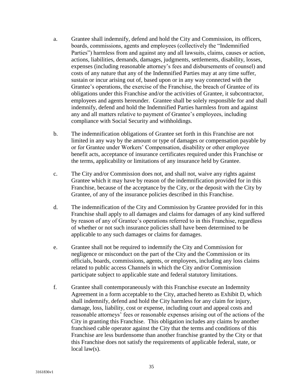- a. Grantee shall indemnify, defend and hold the City and Commission, its officers, boards, commissions, agents and employees (collectively the "Indemnified Parties") harmless from and against any and all lawsuits, claims, causes or action, actions, liabilities, demands, damages, judgments, settlements, disability, losses, expenses (including reasonable attorney's fees and disbursements of counsel) and costs of any nature that any of the Indemnified Parties may at any time suffer, sustain or incur arising out of, based upon or in any way connected with the Grantee's operations, the exercise of the Franchise, the breach of Grantee of its obligations under this Franchise and/or the activities of Grantee, it subcontractor, employees and agents hereunder. Grantee shall be solely responsible for and shall indemnify, defend and hold the Indemnified Parties harmless from and against any and all matters relative to payment of Grantee's employees, including compliance with Social Security and withholdings.
- b. The indemnification obligations of Grantee set forth in this Franchise are not limited in any way by the amount or type of damages or compensation payable by or for Grantee under Workers' Compensation, disability or other employee benefit acts, acceptance of insurance certificates required under this Franchise or the terms, applicability or limitations of any insurance held by Grantee.
- c. The City and/or Commission does not, and shall not, waive any rights against Grantee which it may have by reason of the indemnification provided for in this Franchise, because of the acceptance by the City, or the deposit with the City by Grantee, of any of the insurance policies described in this Franchise.
- d. The indemnification of the City and Commission by Grantee provided for in this Franchise shall apply to all damages and claims for damages of any kind suffered by reason of any of Grantee's operations referred to in this Franchise, regardless of whether or not such insurance policies shall have been determined to be applicable to any such damages or claims for damages.
- e. Grantee shall not be required to indemnify the City and Commission for negligence or misconduct on the part of the City and the Commission or its officials, boards, commissions, agents, or employees, including any loss claims related to public access Channels in which the City and/or Commission participate subject to applicable state and federal statutory limitations.
- f. Grantee shall contemporaneously with this Franchise execute an Indemnity Agreement in a form acceptable to the City, attached hereto as Exhibit D, which shall indemnify, defend and hold the City harmless for any claim for injury, damage, loss, liability, cost or expense, including court and appeal costs and reasonable attorneys' fees or reasonable expenses arising out of the actions of the City in granting this Franchise. This obligation includes any claims by another franchised cable operator against the City that the terms and conditions of this Franchise are less burdensome than another franchise granted by the City or that this Franchise does not satisfy the requirements of applicable federal, state, or local law(s).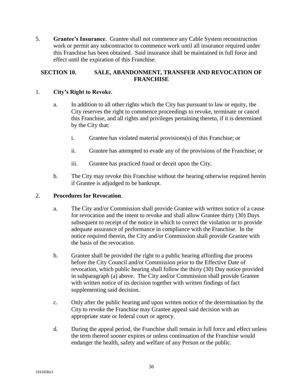5. **Grantee's Insurance**. Grantee shall not commence any Cable System reconstruction work or permit any subcontractor to commence work until all insurance required under this Franchise has been obtained. Said insurance shall be maintained in full force and effect until the expiration of this Franchise.

## **SECTION 10. SALE, ABANDONMENT, TRANSFER AND REVOCATION OF FRANCHISE**

## 1. **City's Right to Revoke**.

- a. In addition to all other rights which the City has pursuant to law or equity, the City reserves the right to commence proceedings to revoke, terminate or cancel this Franchise, and all rights and privileges pertaining thereto, if it is determined by the City that:
	- i. Grantee has violated material provisions(s) of this Franchise; or
	- ii. Grantee has attempted to evade any of the provisions of the Franchise; or
	- iii. Grantee has practiced fraud or deceit upon the City.
- b. The City may revoke this Franchise without the hearing otherwise required herein if Grantee is adjudged to be bankrupt.

## 2. **Procedures for Revocation**.

- a. The City and/or Commission shall provide Grantee with written notice of a cause for revocation and the intent to revoke and shall allow Grantee thirty (30) Days subsequent to receipt of the notice in which to correct the violation or to provide adequate assurance of performance in compliance with the Franchise. In the notice required therein, the City and/or Commission shall provide Grantee with the basis of the revocation.
- b. Grantee shall be provided the right to a public hearing affording due process before the City Council and/or Commission prior to the Effective Date of revocation, which public hearing shall follow the thirty (30) Day notice provided in subparagraph (a) above. The City and/or Commission shall provide Grantee with written notice of its decision together with written findings of fact supplementing said decision.
- c. Only after the public hearing and upon written notice of the determination by the City to revoke the Franchise may Grantee appeal said decision with an appropriate state or federal court or agency.
- d. During the appeal period, the Franchise shall remain in full force and effect unless the term thereof sooner expires or unless continuation of the Franchise would endanger the health, safety and welfare of any Person or the public.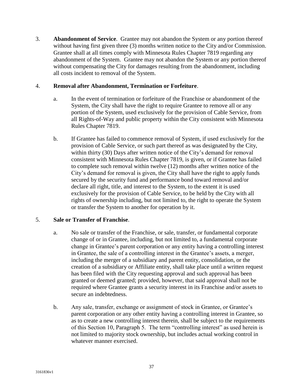3. **Abandonment of Service**. Grantee may not abandon the System or any portion thereof without having first given three (3) months written notice to the City and/or Commission. Grantee shall at all times comply with Minnesota Rules Chapter 7819 regarding any abandonment of the System. Grantee may not abandon the System or any portion thereof without compensating the City for damages resulting from the abandonment, including all costs incident to removal of the System.

#### 4. **Removal after Abandonment, Termination or Forfeiture**.

- a. In the event of termination or forfeiture of the Franchise or abandonment of the System, the City shall have the right to require Grantee to remove all or any portion of the System, used exclusively for the provision of Cable Service, from all Rights-of-Way and public property within the City consistent with Minnesota Rules Chapter 7819.
- b. If Grantee has failed to commence removal of System, if used exclusively for the provision of Cable Service, or such part thereof as was designated by the City, within thirty (30) Days after written notice of the City's demand for removal consistent with Minnesota Rules Chapter 7819, is given, or if Grantee has failed to complete such removal within twelve (12) months after written notice of the City's demand for removal is given, the City shall have the right to apply funds secured by the security fund and performance bond toward removal and/or declare all right, title, and interest to the System, to the extent it is used exclusively for the provision of Cable Service, to be held by the City with all rights of ownership including, but not limited to, the right to operate the System or transfer the System to another for operation by it.

## 5. **Sale or Transfer of Franchise**.

- a. No sale or transfer of the Franchise, or sale, transfer, or fundamental corporate change of or in Grantee, including, but not limited to, a fundamental corporate change in Grantee's parent corporation or any entity having a controlling interest in Grantee, the sale of a controlling interest in the Grantee's assets, a merger, including the merger of a subsidiary and parent entity, consolidation, or the creation of a subsidiary or Affiliate entity, shall take place until a written request has been filed with the City requesting approval and such approval has been granted or deemed granted; provided, however, that said approval shall not be required where Grantee grants a security interest in its Franchise and/or assets to secure an indebtedness.
- b. Any sale, transfer, exchange or assignment of stock in Grantee, or Grantee's parent corporation or any other entity having a controlling interest in Grantee, so as to create a new controlling interest therein, shall be subject to the requirements of this Section 10, Paragraph 5. The term "controlling interest" as used herein is not limited to majority stock ownership, but includes actual working control in whatever manner exercised.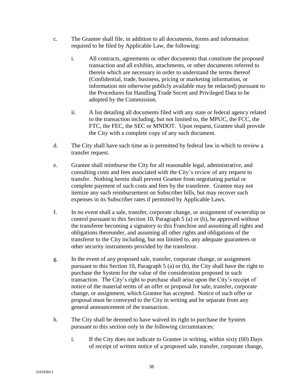- c. The Grantee shall file, in addition to all documents, forms and information required to be filed by Applicable Law, the following:
	- i. All contracts, agreements or other documents that constitute the proposed transaction and all exhibits, attachments, or other documents referred to therein which are necessary in order to understand the terms thereof (Confidential, trade, business, pricing or marketing information, or information not otherwise publicly available may be redacted) pursuant to the Procedures for Handling Trade Secret and Privileged Data to be adopted by the Commission.
	- ii. A list detailing all documents filed with any state or federal agency related to the transaction including, but not limited to, the MPUC, the FCC, the FTC, the FEC, the SEC or MNDOT. Upon request, Grantee shall provide the City with a complete copy of any such document.
- d. The City shall have such time as is permitted by federal law in which to review a transfer request.
- e. Grantee shall reimburse the City for all reasonable legal, administrative, and consulting costs and fees associated with the City's review of any request to transfer. Nothing herein shall prevent Grantee from negotiating partial or complete payment of such costs and fees by the transferee. Grantee may not itemize any such reimbursement on Subscriber bills, but may recover such expenses in its Subscriber rates if permitted by Applicable Laws.
- f. In no event shall a sale, transfer, corporate change, or assignment of ownership or control pursuant to this Section 10, Paragraph 5 (a) or (b), be approved without the transferee becoming a signatory to this Franchise and assuming all rights and obligations thereunder, and assuming all other rights and obligations of the transferor to the City including, but not limited to, any adequate guarantees or other security instruments provided by the transferor.
- g. In the event of any proposed sale, transfer, corporate change, or assignment pursuant to this Section 10, Paragraph 5 (a) or (b), the City shall have the right to purchase the System for the value of the consideration proposed in such transaction. The City's right to purchase shall arise upon the City's receipt of notice of the material terms of an offer or proposal for sale, transfer, corporate change, or assignment, which Grantee has accepted. Notice of such offer or proposal must be conveyed to the City in writing and be separate from any general announcement of the transaction.
- h. The City shall be deemed to have waived its right to purchase the System pursuant to this section only in the following circumstances:
	- i. If the City does not indicate to Grantee in writing, within sixty (60) Days of receipt of written notice of a proposed sale, transfer, corporate change,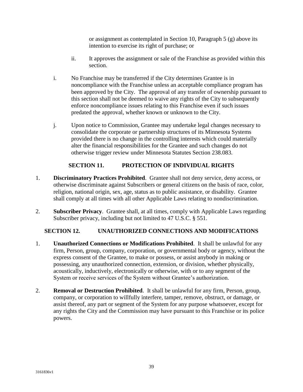or assignment as contemplated in Section 10, Paragraph 5 (g) above its intention to exercise its right of purchase; or

- ii. It approves the assignment or sale of the Franchise as provided within this section.
- i. No Franchise may be transferred if the City determines Grantee is in noncompliance with the Franchise unless an acceptable compliance program has been approved by the City. The approval of any transfer of ownership pursuant to this section shall not be deemed to waive any rights of the City to subsequently enforce noncompliance issues relating to this Franchise even if such issues predated the approval, whether known or unknown to the City.
- j. Upon notice to Commission, Grantee may undertake legal changes necessary to consolidate the corporate or partnership structures of its Minnesota Systems provided there is no change in the controlling interests which could materially alter the financial responsibilities for the Grantee and such changes do not otherwise trigger review under Minnesota Statutes Section 238.083.

## **SECTION 11. PROTECTION OF INDIVIDUAL RIGHTS**

- 1. **Discriminatory Practices Prohibited**. Grantee shall not deny service, deny access, or otherwise discriminate against Subscribers or general citizens on the basis of race, color, religion, national origin, sex, age, status as to public assistance, or disability. Grantee shall comply at all times with all other Applicable Laws relating to nondiscrimination.
- 2. **Subscriber Privacy**. Grantee shall, at all times, comply with Applicable Laws regarding Subscriber privacy, including but not limited to 47 U.S.C. § 551.

## **SECTION 12. UNAUTHORIZED CONNECTIONS AND MODIFICATIONS**

- 1. **Unauthorized Connections or Modifications Prohibited**. It shall be unlawful for any firm, Person, group, company, corporation, or governmental body or agency, without the express consent of the Grantee, to make or possess, or assist anybody in making or possessing, any unauthorized connection, extension, or division, whether physically, acoustically, inductively, electronically or otherwise, with or to any segment of the System or receive services of the System without Grantee's authorization.
- 2. **Removal or Destruction Prohibited**. It shall be unlawful for any firm, Person, group, company, or corporation to willfully interfere, tamper, remove, obstruct, or damage, or assist thereof, any part or segment of the System for any purpose whatsoever, except for any rights the City and the Commission may have pursuant to this Franchise or its police powers.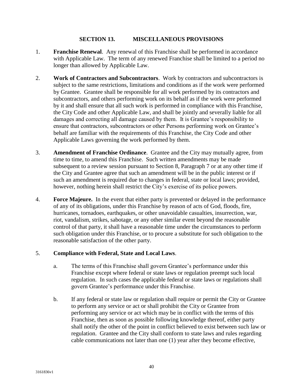#### **SECTION 13. MISCELLANEOUS PROVISIONS**

- 1. **Franchise Renewal**. Any renewal of this Franchise shall be performed in accordance with Applicable Law. The term of any renewed Franchise shall be limited to a period no longer than allowed by Applicable Law.
- 2. **Work of Contractors and Subcontractors**. Work by contractors and subcontractors is subject to the same restrictions, limitations and conditions as if the work were performed by Grantee. Grantee shall be responsible for all work performed by its contractors and subcontractors, and others performing work on its behalf as if the work were performed by it and shall ensure that all such work is performed in compliance with this Franchise, the City Code and other Applicable Law, and shall be jointly and severally liable for all damages and correcting all damage caused by them. It is Grantee's responsibility to ensure that contractors, subcontractors or other Persons performing work on Grantee's behalf are familiar with the requirements of this Franchise, the City Code and other Applicable Laws governing the work performed by them.
- 3. **Amendment of Franchise Ordinance**. Grantee and the City may mutually agree, from time to time, to amend this Franchise. Such written amendments may be made subsequent to a review session pursuant to Section 8, Paragraph 7 or at any other time if the City and Grantee agree that such an amendment will be in the public interest or if such an amendment is required due to changes in federal, state or local laws; provided, however, nothing herein shall restrict the City's exercise of its police powers.
- 4. **Force Majeure.** In the event that either party is prevented or delayed in the performance of any of its obligations, under this Franchise by reason of acts of God, floods, fire, hurricanes, tornadoes, earthquakes, or other unavoidable casualties, insurrection, war, riot, vandalism, strikes, sabotage, or any other similar event beyond the reasonable control of that party, it shall have a reasonable time under the circumstances to perform such obligation under this Franchise, or to procure a substitute for such obligation to the reasonable satisfaction of the other party.

## 5. **Compliance with Federal, State and Local Laws**.

- a. The terms of this Franchise shall govern Grantee's performance under this Franchise except where federal or state laws or regulation preempt such local regulation. In such cases the applicable federal or state laws or regulations shall govern Grantee's performance under this Franchise.
- b. If any federal or state law or regulation shall require or permit the City or Grantee to perform any service or act or shall prohibit the City or Grantee from performing any service or act which may be in conflict with the terms of this Franchise, then as soon as possible following knowledge thereof, either party shall notify the other of the point in conflict believed to exist between such law or regulation. Grantee and the City shall conform to state laws and rules regarding cable communications not later than one (1) year after they become effective,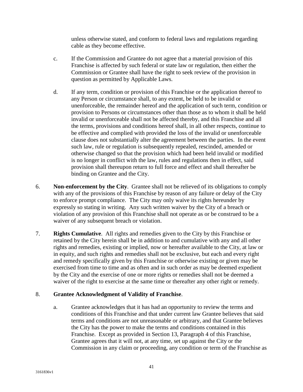unless otherwise stated, and conform to federal laws and regulations regarding cable as they become effective.

- c. If the Commission and Grantee do not agree that a material provision of this Franchise is affected by such federal or state law or regulation, then either the Commission or Grantee shall have the right to seek review of the provision in question as permitted by Applicable Laws.
- d. If any term, condition or provision of this Franchise or the application thereof to any Person or circumstance shall, to any extent, be held to be invalid or unenforceable, the remainder hereof and the application of such term, condition or provision to Persons or circumstances other than those as to whom it shall be held invalid or unenforceable shall not be affected thereby, and this Franchise and all the terms, provisions and conditions hereof shall, in all other respects, continue to be effective and complied with provided the loss of the invalid or unenforceable clause does not substantially alter the agreement between the parties. In the event such law, rule or regulation is subsequently repealed, rescinded, amended or otherwise changed so that the provision which had been held invalid or modified is no longer in conflict with the law, rules and regulations then in effect, said provision shall thereupon return to full force and effect and shall thereafter be binding on Grantee and the City.
- 6. **Non-enforcement by the City**. Grantee shall not be relieved of its obligations to comply with any of the provisions of this Franchise by reason of any failure or delay of the City to enforce prompt compliance. The City may only waive its rights hereunder by expressly so stating in writing. Any such written waiver by the City of a breach or violation of any provision of this Franchise shall not operate as or be construed to be a waiver of any subsequent breach or violation.
- 7. **Rights Cumulative**. All rights and remedies given to the City by this Franchise or retained by the City herein shall be in addition to and cumulative with any and all other rights and remedies, existing or implied, now or hereafter available to the City, at law or in equity, and such rights and remedies shall not be exclusive, but each and every right and remedy specifically given by this Franchise or otherwise existing or given may be exercised from time to time and as often and in such order as may be deemed expedient by the City and the exercise of one or more rights or remedies shall not be deemed a waiver of the right to exercise at the same time or thereafter any other right or remedy.

## 8. **Grantee Acknowledgment of Validity of Franchise**.

a. Grantee acknowledges that it has had an opportunity to review the terms and conditions of this Franchise and that under current law Grantee believes that said terms and conditions are not unreasonable or arbitrary, and that Grantee believes the City has the power to make the terms and conditions contained in this Franchise. Except as provided in Section 13, Paragraph 4 of this Franchise, Grantee agrees that it will not, at any time, set up against the City or the Commission in any claim or proceeding, any condition or term of the Franchise as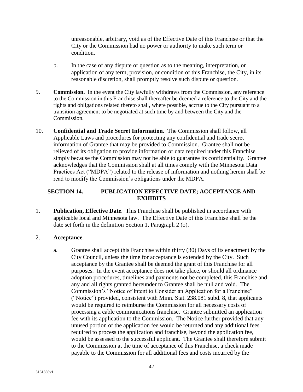unreasonable, arbitrary, void as of the Effective Date of this Franchise or that the City or the Commission had no power or authority to make such term or condition.

- b. In the case of any dispute or question as to the meaning, interpretation, or application of any term, provision, or condition of this Franchise, the City, in its reasonable discretion, shall promptly resolve such dispute or question.
- 9. **Commission.** In the event the City lawfully withdraws from the Commission, any reference to the Commission in this Franchise shall thereafter be deemed a reference to the City and the rights and obligations related thereto shall, where possible, accrue to the City pursuant to a transition agreement to be negotiated at such time by and between the City and the Commission.
- 10. **Confidential and Trade Secret Information**. The Commission shall follow, all Applicable Laws and procedures for protecting any confidential and trade secret information of Grantee that may be provided to Commission. Grantee shall not be relieved of its obligation to provide information or data required under this Franchise simply because the Commission may not be able to guarantee its confidentiality. Grantee acknowledges that the Commission shall at all times comply with the Minnesota Data Practices Act ("MDPA") related to the release of information and nothing herein shall be read to modify the Commission's obligations under the MDPA.

## **SECTION 14. PUBLICATION EFFECTIVE DATE; ACCEPTANCE AND EXHIBITS**

1. **Publication, Effective Date**. This Franchise shall be published in accordance with applicable local and Minnesota law. The Effective Date of this Franchise shall be the date set forth in the definition Section 1, Paragraph 2 (o).

#### 2. **Acceptance**.

a. Grantee shall accept this Franchise within thirty (30) Days of its enactment by the City Council, unless the time for acceptance is extended by the City. Such acceptance by the Grantee shall be deemed the grant of this Franchise for all purposes. In the event acceptance does not take place, or should all ordinance adoption procedures, timelines and payments not be completed, this Franchise and any and all rights granted hereunder to Grantee shall be null and void. The Commission's "Notice of Intent to Consider an Application for a Franchise" ("Notice") provided, consistent with Minn. Stat. 238.081 subd. 8, that applicants would be required to reimburse the Commission for all necessary costs of processing a cable communications franchise. Grantee submitted an application fee with its application to the Commission. The Notice further provided that any unused portion of the application fee would be returned and any additional fees required to process the application and franchise, beyond the application fee, would be assessed to the successful applicant. The Grantee shall therefore submit to the Commission at the time of acceptance of this Franchise, a check made payable to the Commission for all additional fees and costs incurred by the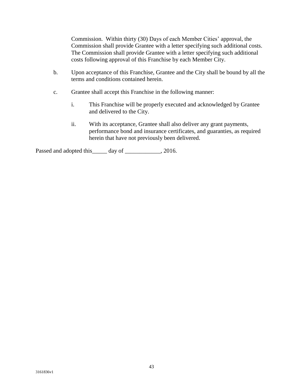Commission. Within thirty (30) Days of each Member Cities' approval, the Commission shall provide Grantee with a letter specifying such additional costs. The Commission shall provide Grantee with a letter specifying such additional costs following approval of this Franchise by each Member City.

- b. Upon acceptance of this Franchise, Grantee and the City shall be bound by all the terms and conditions contained herein.
- c. Grantee shall accept this Franchise in the following manner:
	- i. This Franchise will be properly executed and acknowledged by Grantee and delivered to the City.
	- ii. With its acceptance, Grantee shall also deliver any grant payments, performance bond and insurance certificates, and guaranties, as required herein that have not previously been delivered.

Passed and adopted this day of \_\_\_\_\_\_\_\_\_\_\_, 2016.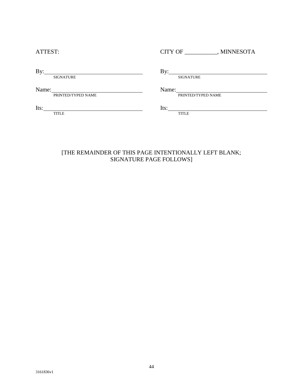| ATTEST:                     | <b>CITY OF</b><br>MINNESOTA |
|-----------------------------|-----------------------------|
| By:<br><b>SIGNATURE</b>     | By:<br><b>SIGNATURE</b>     |
| Name:<br>PRINTED/TYPED NAME | Name:<br>PRINTED/TYPED NAME |
| Its:<br><b>TITLE</b>        | Its:<br><b>TITLE</b>        |
|                             |                             |

#### [THE REMAINDER OF THIS PAGE INTENTIONALLY LEFT BLANK; SIGNATURE PAGE FOLLOWS]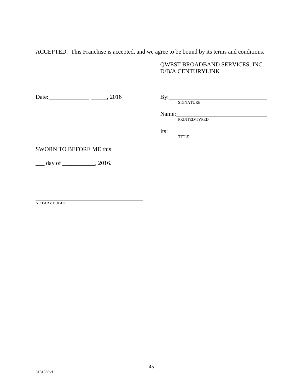ACCEPTED: This Franchise is accepted, and we agree to be bound by its terms and conditions.

## QWEST BROADBAND SERVICES, INC. D/B/A CENTURYLINK

Date: , 2016 By:

By: SIGNATURE

Name:

PRINTED/TYPED

Its:

TITLE

## SWORN TO BEFORE ME this

 $\frac{day \text{ of }_1}{x}$ , 2016.

NOTARY PUBLIC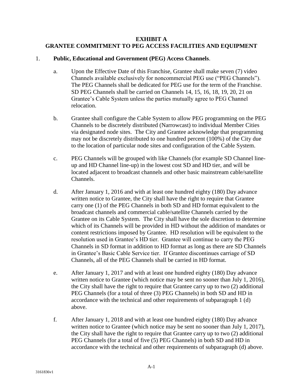#### **EXHIBIT A GRANTEE COMMITMENT TO PEG ACCESS FACILITIES AND EQUIPMENT**

#### 1. **Public, Educational and Government (PEG) Access Channels**.

- a. Upon the Effective Date of this Franchise, Grantee shall make seven (7) video Channels available exclusively for noncommercial PEG use ("PEG Channels"). The PEG Channels shall be dedicated for PEG use for the term of the Franchise. SD PEG Channels shall be carried on Channels 14, 15, 16, 18, 19, 20, 21 on Grantee's Cable System unless the parties mutually agree to PEG Channel relocation.
- b. Grantee shall configure the Cable System to allow PEG programming on the PEG Channels to be discretely distributed (Narrowcast) to individual Member Cities via designated node sites. The City and Grantee acknowledge that programming may not be discretely distributed to one hundred percent (100%) of the City due to the location of particular node sites and configuration of the Cable System.
- c. PEG Channels will be grouped with like Channels (for example SD Channel lineup and HD Channel line-up) in the lowest cost SD and HD tier, and will be located adjacent to broadcast channels and other basic mainstream cable/satellite Channels.
- d. After January 1, 2016 and with at least one hundred eighty (180) Day advance written notice to Grantee, the City shall have the right to require that Grantee carry one (1) of the PEG Channels in both SD and HD format equivalent to the broadcast channels and commercial cable/satellite Channels carried by the Grantee on its Cable System. The City shall have the sole discretion to determine which of its Channels will be provided in HD without the addition of mandates or content restrictions imposed by Grantee. HD resolution will be equivalent to the resolution used in Grantee's HD tier. Grantee will continue to carry the PEG Channels in SD format in addition to HD format as long as there are SD Channels in Grantee's Basic Cable Service tier. If Grantee discontinues carriage of SD Channels, all of the PEG Channels shall be carried in HD format.
- e. After January 1, 2017 and with at least one hundred eighty (180) Day advance written notice to Grantee (which notice may be sent no sooner than July 1, 2016), the City shall have the right to require that Grantee carry up to two (2) additional PEG Channels (for a total of three (3) PEG Channels) in both SD and HD in accordance with the technical and other requirements of subparagraph 1 (d) above.
- f. After January 1, 2018 and with at least one hundred eighty (180) Day advance written notice to Grantee (which notice may be sent no sooner than July 1, 2017), the City shall have the right to require that Grantee carry up to two (2) additional PEG Channels (for a total of five (5) PEG Channels) in both SD and HD in accordance with the technical and other requirements of subparagraph (d) above.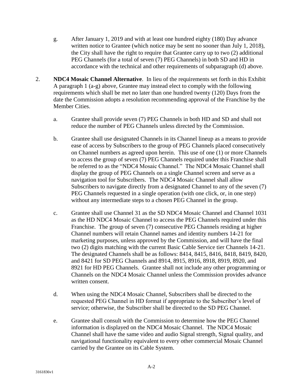- g. After January 1, 2019 and with at least one hundred eighty (180) Day advance written notice to Grantee (which notice may be sent no sooner than July 1, 2018), the City shall have the right to require that Grantee carry up to two (2) additional PEG Channels (for a total of seven (7) PEG Channels) in both SD and HD in accordance with the technical and other requirements of subparagraph (d) above.
- 2. **NDC4 Mosaic Channel Alternative**. In lieu of the requirements set forth in this Exhibit A paragraph 1 (a-g) above, Grantee may instead elect to comply with the following requirements which shall be met no later than one hundred twenty (120) Days from the date the Commission adopts a resolution recommending approval of the Franchise by the Member Cities.
	- a. Grantee shall provide seven (7) PEG Channels in both HD and SD and shall not reduce the number of PEG Channels unless directed by the Commission.
	- b. Grantee shall use designated Channels in its Channel lineup as a means to provide ease of access by Subscribers to the group of PEG Channels placed consecutively on Channel numbers as agreed upon herein. This use of one (1) or more Channels to access the group of seven (7) PEG Channels required under this Franchise shall be referred to as the "NDC4 Mosaic Channel." The NDC4 Mosaic Channel shall display the group of PEG Channels on a single Channel screen and serve as a navigation tool for Subscribers. The NDC4 Mosaic Channel shall allow Subscribers to navigate directly from a designated Channel to any of the seven (7) PEG Channels requested in a single operation (with one click, or, in one step) without any intermediate steps to a chosen PEG Channel in the group.
	- c. Grantee shall use Channel 31 as the SD NDC4 Mosaic Channel and Channel 1031 as the HD NDC4 Mosaic Channel to access the PEG Channels required under this Franchise. The group of seven (7) consecutive PEG Channels residing at higher Channel numbers will retain Channel names and identity numbers 14-21 for marketing purposes, unless approved by the Commission, and will have the final two (2) digits matching with the current Basic Cable Service tier Channels 14-21. The designated Channels shall be as follows: 8414, 8415, 8416, 8418, 8419, 8420, and 8421 for SD PEG Channels and 8914, 8915, 8916, 8918, 8919, 8920, and 8921 for HD PEG Channels. Grantee shall not include any other programming or Channels on the NDC4 Mosaic Channel unless the Commission provides advance written consent.
	- d. When using the NDC4 Mosaic Channel, Subscribers shall be directed to the requested PEG Channel in HD format if appropriate to the Subscriber's level of service; otherwise, the Subscriber shall be directed to the SD PEG Channel.
	- e. Grantee shall consult with the Commission to determine how the PEG Channel information is displayed on the NDC4 Mosaic Channel. The NDC4 Mosaic Channel shall have the same video and audio Signal strength, Signal quality, and navigational functionality equivalent to every other commercial Mosaic Channel carried by the Grantee on its Cable System.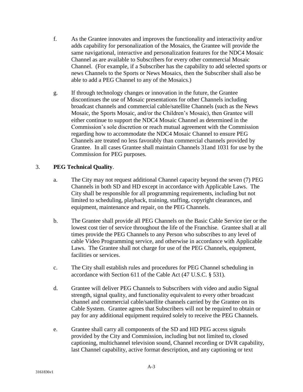- f. As the Grantee innovates and improves the functionality and interactivity and/or adds capability for personalization of the Mosaics, the Grantee will provide the same navigational, interactive and personalization features for the NDC4 Mosaic Channel as are available to Subscribers for every other commercial Mosaic Channel. (For example, if a Subscriber has the capability to add selected sports or news Channels to the Sports or News Mosaics, then the Subscriber shall also be able to add a PEG Channel to any of the Mosaics.)
- g. If through technology changes or innovation in the future, the Grantee discontinues the use of Mosaic presentations for other Channels including broadcast channels and commercial cable/satellite Channels (such as the News Mosaic, the Sports Mosaic, and/or the Children's Mosaic), then Grantee will either continue to support the NDC4 Mosaic Channel as determined in the Commission's sole discretion or reach mutual agreement with the Commission regarding how to accommodate the NDC4 Mosaic Channel to ensure PEG Channels are treated no less favorably than commercial channels provided by Grantee. In all cases Grantee shall maintain Channels 31and 1031 for use by the Commission for PEG purposes.

## 3. **PEG Technical Quality**.

- a. The City may not request additional Channel capacity beyond the seven (7) PEG Channels in both SD and HD except in accordance with Applicable Laws. The City shall be responsible for all programming requirements, including but not limited to scheduling, playback, training, staffing, copyright clearances, and equipment, maintenance and repair, on the PEG Channels.
- b. The Grantee shall provide all PEG Channels on the Basic Cable Service tier or the lowest cost tier of service throughout the life of the Franchise. Grantee shall at all times provide the PEG Channels to any Person who subscribes to any level of cable Video Programming service, and otherwise in accordance with Applicable Laws. The Grantee shall not charge for use of the PEG Channels, equipment, facilities or services.
- c. The City shall establish rules and procedures for PEG Channel scheduling in accordance with Section 611 of the Cable Act (47 U.S.C. § 531).
- d. Grantee will deliver PEG Channels to Subscribers with video and audio Signal strength, signal quality, and functionality equivalent to every other broadcast channel and commercial cable/satellite channels carried by the Grantee on its Cable System. Grantee agrees that Subscribers will not be required to obtain or pay for any additional equipment required solely to receive the PEG Channels.
- e. Grantee shall carry all components of the SD and HD PEG access signals provided by the City and Commission, including but not limited to, closed captioning, multichannel television sound, Channel recording or DVR capability, last Channel capability, active format description, and any captioning or text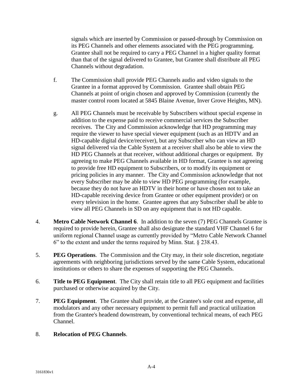signals which are inserted by Commission or passed-through by Commission on its PEG Channels and other elements associated with the PEG programming. Grantee shall not be required to carry a PEG Channel in a higher quality format than that of the signal delivered to Grantee, but Grantee shall distribute all PEG Channels without degradation.

- f. The Commission shall provide PEG Channels audio and video signals to the Grantee in a format approved by Commission. Grantee shall obtain PEG Channels at point of origin chosen and approved by Commission (currently the master control room located at 5845 Blaine Avenue, Inver Grove Heights, MN).
- g. All PEG Channels must be receivable by Subscribers without special expense in addition to the expense paid to receive commercial services the Subscriber receives. The City and Commission acknowledge that HD programming may require the viewer to have special viewer equipment (such as an HDTV and an HD-capable digital device/receiver), but any Subscriber who can view an HD signal delivered via the Cable System at a receiver shall also be able to view the HD PEG Channels at that receiver, without additional charges or equipment. By agreeing to make PEG Channels available in HD format, Grantee is not agreeing to provide free HD equipment to Subscribers, or to modify its equipment or pricing policies in any manner. The City and Commission acknowledge that not every Subscriber may be able to view HD PEG programming (for example, because they do not have an HDTV in their home or have chosen not to take an HD-capable receiving device from Grantee or other equipment provider) or on every television in the home. Grantee agrees that any Subscriber shall be able to view all PEG Channels in SD on any equipment that is not HD capable.
- 4. **Metro Cable Network Channel 6**. In addition to the seven (7) PEG Channels Grantee is required to provide herein, Grantee shall also designate the standard VHF Channel 6 for uniform regional Channel usage as currently provided by "Metro Cable Network Channel 6" to the extent and under the terms required by Minn. Stat. § 238.43.
- 5. **PEG Operations**. The Commission and the City may, in their sole discretion, negotiate agreements with neighboring jurisdictions served by the same Cable System, educational institutions or others to share the expenses of supporting the PEG Channels.
- 6. **Title to PEG Equipment**. The City shall retain title to all PEG equipment and facilities purchased or otherwise acquired by the City.
- 7. **PEG Equipment**. The Grantee shall provide, at the Grantee's sole cost and expense, all modulators and any other necessary equipment to permit full and practical utilization from the Grantee's headend downstream, by conventional technical means, of each PEG Channel.

## 8. **Relocation of PEG Channels**.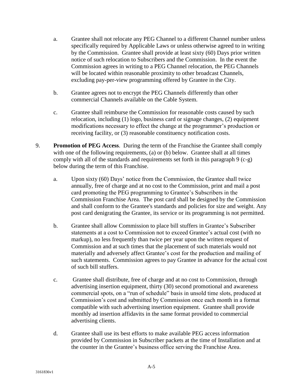- a. Grantee shall not relocate any PEG Channel to a different Channel number unless specifically required by Applicable Laws or unless otherwise agreed to in writing by the Commission. Grantee shall provide at least sixty (60) Days prior written notice of such relocation to Subscribers and the Commission. In the event the Commission agrees in writing to a PEG Channel relocation, the PEG Channels will be located within reasonable proximity to other broadcast Channels, excluding pay-per-view programming offered by Grantee in the City.
- b. Grantee agrees not to encrypt the PEG Channels differently than other commercial Channels available on the Cable System.
- c. Grantee shall reimburse the Commission for reasonable costs caused by such relocation, including (1) logo, business card or signage changes, (2) equipment modifications necessary to effect the change at the programmer's production or receiving facility, or (3) reasonable constituency notification costs.
- 9. **Promotion of PEG Access**. During the term of the Franchise the Grantee shall comply with one of the following requirements, (a) or (b) below. Grantee shall at all times comply with all of the standards and requirements set forth in this paragraph 9 (c-g) below during the term of this Franchise.
	- a. Upon sixty (60) Days' notice from the Commission, the Grantee shall twice annually, free of charge and at no cost to the Commission, print and mail a post card promoting the PEG programming to Grantee's Subscribers in the Commission Franchise Area. The post card shall be designed by the Commission and shall conform to the Grantee's standards and policies for size and weight. Any post card denigrating the Grantee, its service or its programming is not permitted.
	- b. Grantee shall allow Commission to place bill stuffers in Grantee's Subscriber statements at a cost to Commission not to exceed Grantee's actual cost (with no markup), no less frequently than twice per year upon the written request of Commission and at such times that the placement of such materials would not materially and adversely affect Grantee's cost for the production and mailing of such statements. Commission agrees to pay Grantee in advance for the actual cost of such bill stuffers.
	- c. Grantee shall distribute, free of charge and at no cost to Commission, through advertising insertion equipment, thirty (30) second promotional and awareness commercial spots, on a "run of schedule" basis in unsold time slots, produced at Commission's cost and submitted by Commission once each month in a format compatible with such advertising insertion equipment. Grantee shall provide monthly ad insertion affidavits in the same format provided to commercial advertising clients.
	- d. Grantee shall use its best efforts to make available PEG access information provided by Commission in Subscriber packets at the time of Installation and at the counter in the Grantee's business office serving the Franchise Area.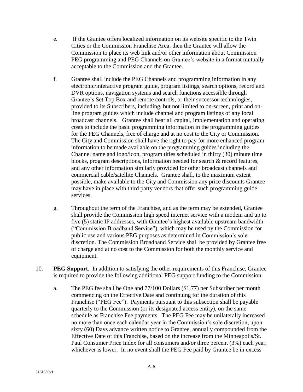- e. If the Grantee offers localized information on its website specific to the Twin Cities or the Commission Franchise Area, then the Grantee will allow the Commission to place its web link and/or other information about Commission PEG programming and PEG Channels on Grantee's website in a format mutually acceptable to the Commission and the Grantee.
- f. Grantee shall include the PEG Channels and programming information in any electronic/interactive program guide, program listings, search options, record and DVR options, navigation systems and search functions accessible through Grantee's Set Top Box and remote controls, or their successor technologies, provided to its Subscribers, including, but not limited to on-screen, print and online program guides which include channel and program listings of any local broadcast channels. Grantee shall bear all capital, implementation and operating costs to include the basic programming information in the programming guides for the PEG Channels, free of charge and at no cost to the City or Commission. The City and Commission shall have the right to pay for more enhanced program information to be made available on the programming guides including the Channel name and logo/icon, program titles scheduled in thirty (30) minute time blocks, program descriptions, information needed for search & record features, and any other information similarly provided for other broadcast channels and commercial cable/satellite Channels. Grantee shall, to the maximum extent possible, make available to the City and Commission any price discounts Grantee may have in place with third party vendors that offer such programming guide services.
- g. Throughout the term of the Franchise, and as the term may be extended, Grantee shall provide the Commission high speed internet service with a modem and up to five (5) static IP addresses, with Grantee's highest available upstream bandwidth ("Commission Broadband Service"), which may be used by the Commission for public use and various PEG purposes as determined in Commission's sole discretion. The Commission Broadband Service shall be provided by Grantee free of charge and at no cost to the Commission for both the monthly service and equipment.
- 10. **PEG Support**. In addition to satisfying the other requirements of this Franchise, Grantee is required to provide the following additional PEG support funding to the Commission:
	- a. The PEG fee shall be One and 77/100 Dollars (\$1.77) per Subscriber per month commencing on the Effective Date and continuing for the duration of this Franchise ("PEG Fee"). Payments pursuant to this subsection shall be payable quarterly to the Commission (or its designated access entity), on the same schedule as Franchise Fee payments. The PEG Fee may be unilaterally increased no more than once each calendar year in the Commission's sole discretion, upon sixty (60) Days advance written notice to Grantee, annually compounded from the Effective Date of this Franchise, based on the increase from the Minneapolis/St. Paul Consumer Price Index for all consumers and/or three percent (3%) each year, whichever is lower. In no event shall the PEG Fee paid by Grantee be in excess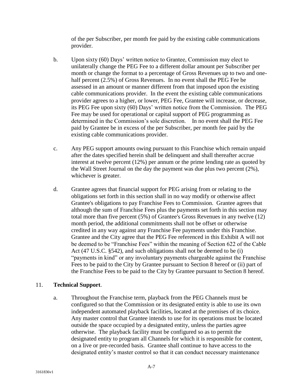of the per Subscriber, per month fee paid by the existing cable communications provider.

- b. Upon sixty (60) Days' written notice to Grantee, Commission may elect to unilaterally change the PEG Fee to a different dollar amount per Subscriber per month or change the format to a percentage of Gross Revenues up to two and onehalf percent (2.5%) of Gross Revenues. In no event shall the PEG Fee be assessed in an amount or manner different from that imposed upon the existing cable communications provider. In the event the existing cable communications provider agrees to a higher, or lower, PEG Fee, Grantee will increase, or decrease, its PEG Fee upon sixty (60) Days' written notice from the Commission. The PEG Fee may be used for operational or capital support of PEG programming as determined in the Commission's sole discretion. In no event shall the PEG Fee paid by Grantee be in excess of the per Subscriber, per month fee paid by the existing cable communications provider.
- c. Any PEG support amounts owing pursuant to this Franchise which remain unpaid after the dates specified herein shall be delinquent and shall thereafter accrue interest at twelve percent (12%) per annum or the prime lending rate as quoted by the Wall Street Journal on the day the payment was due plus two percent (2%), whichever is greater.
- d. Grantee agrees that financial support for PEG arising from or relating to the obligations set forth in this section shall in no way modify or otherwise affect Grantee's obligations to pay Franchise Fees to Commission. Grantee agrees that although the sum of Franchise Fees plus the payments set forth in this section may total more than five percent (5%) of Grantee's Gross Revenues in any twelve (12) month period, the additional commitments shall not be offset or otherwise credited in any way against any Franchise Fee payments under this Franchise. Grantee and the City agree that the PEG Fee referenced in this Exhibit A will not be deemed to be "Franchise Fees" within the meaning of Section 622 of the Cable Act (47 U.S.C. §542), and such obligations shall not be deemed to be (i) "payments in kind" or any involuntary payments chargeable against the Franchise Fees to be paid to the City by Grantee pursuant to Section 8 hereof or (ii) part of the Franchise Fees to be paid to the City by Grantee pursuant to Section 8 hereof.

## 11. **Technical Support**.

a. Throughout the Franchise term, playback from the PEG Channels must be configured so that the Commission or its designated entity is able to use its own independent automated playback facilities, located at the premises of its choice. Any master control that Grantee intends to use for its operations must be located outside the space occupied by a designated entity, unless the parties agree otherwise. The playback facility must be configured so as to permit the designated entity to program all Channels for which it is responsible for content, on a live or pre-recorded basis. Grantee shall continue to have access to the designated entity's master control so that it can conduct necessary maintenance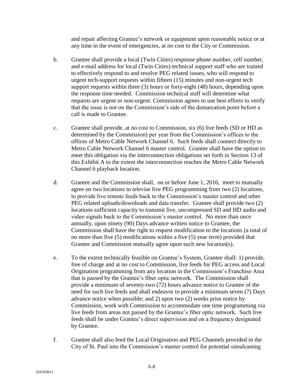and repair affecting Grantee's network or equipment upon reasonable notice or at any time in the event of emergencies, at no cost to the City or Commission.

- b. Grantee shall provide a local (Twin Cities) response phone number, cell number, and e-mail address for local (Twin Cities) technical support staff who are trained to effectively respond to and resolve PEG related issues, who will respond to urgent tech-support requests within fifteen (15) minutes and non-urgent tech support requests within three (3) hours or forty-eight (48) hours, depending upon the response time needed. Commission technical staff will determine what requests are urgent or non-urgent. Commission agrees to use best efforts to verify that the issue is not on the Commission's side of the demarcation point before a call is made to Grantee.
- c. Grantee shall provide, at no cost to Commission, six (6) live feeds (SD or HD as determined by the Commission) per year from the Commission's offices to the offices of Metro Cable Network Channel 6. Such feeds shall connect directly to Metro Cable Network Channel 6 master control. Grantee shall have the option to meet this obligation via the interconnection obligations set forth in Section 13 of this Exhibit A to the extent the interconnection reaches the Metro Cable Network Channel 6 playback location.
- d. Grantee and the Commission shall, on or before June 1, 2016, meet to mutually agree on two locations to televise live PEG programming from two (2) locations, to provide live remote feeds back to the Commission's master control and other PEG related uploads/downloads and data transfer. Grantee shall provide two (2) locations sufficient capacity to transmit live, uncompressed SD and HD audio and video signals back to the Commission's master control. No more than once annually, upon ninety (90) Days advance written notice to Grantee, the Commission shall have the right to request modification to the locations (a total of no more than five (5) modifications within a five (5) year term) provided that Grantee and Commission mutually agree upon such new location(s).
- e. To the extent technically feasible on Grantee's System, Grantee shall: 1) provide, free of charge and at no cost to Commission, live feeds for PEG access and Local Origination programming from any location in the Commission's Franchise Area that is passed by the Grantee's fiber optic network. The Commission shall provide a minimum of seventy-two (72) hours advance notice to Grantee of the need for such live feeds and shall endeavor to provide a minimum seven (7) Days advance notice when possible; and 2) upon two (2) weeks prior notice by Commission, work with Commission to accommodate one time programming via live feeds from areas not passed by the Grantee's fiber optic network. Such live feeds shall be under Grantee's direct supervision and on a frequency designated by Grantee.
- f. Grantee shall also feed the Local Origination and PEG Channels provided in the City of St. Paul into the Commission's master control for potential simulcasting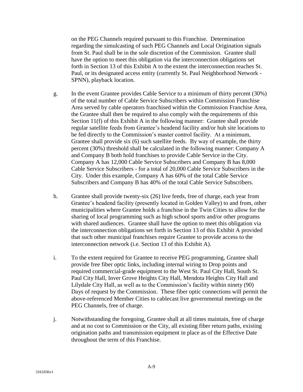on the PEG Channels required pursuant to this Franchise. Determination regarding the simulcasting of such PEG Channels and Local Origination signals from St. Paul shall be in the sole discretion of the Commission. Grantee shall have the option to meet this obligation via the interconnection obligations set forth in Section 13 of this Exhibit A to the extent the interconnection reaches St. Paul, or its designated access entity (currently St. Paul Neighborhood Network - SPNN), playback location.

- g. In the event Grantee provides Cable Service to a minimum of thirty percent (30%) of the total number of Cable Service Subscribers within Commission Franchise Area served by cable operators franchised within the Commission Franchise Area, the Grantee shall then be required to also comply with the requirements of this Section 11(f) of this Exhibit A in the following manner: Grantee shall provide regular satellite feeds from Grantee's headend facility and/or hub site locations to be fed directly to the Commission's master control facility. At a minimum, Grantee shall provide six (6) such satellite feeds. By way of example, the thirty percent (30%) threshold shall be calculated in the following manner: Company A and Company B both hold franchises to provide Cable Service in the City. Company A has 12,000 Cable Service Subscribers and Company B has 8,000 Cable Service Subscribers - for a total of 20,000 Cable Service Subscribers in the City. Under this example, Company A has 60% of the total Cable Service Subscribers and Company B has 40% of the total Cable Service Subscribers.
- h. Grantee shall provide twenty-six (26) live feeds, free of charge, each year from Grantee's headend facility (presently located in Golden Valley) to and from, other municipalities where Grantee holds a franchise in the Twin Cities to allow for the sharing of local programming such as high school sports and/or other programs with shared audiences. Grantee shall have the option to meet this obligation via the interconnection obligations set forth in Section 13 of this Exhibit A provided that such other municipal franchises require Grantee to provide access to the interconnection network (i.e. Section 13 of this Exhibit A).
- i. To the extent required for Grantee to receive PEG programming, Grantee shall provide free fiber optic links, including internal wiring to Drop points and required commercial-grade equipment to the West St. Paul City Hall, South St. Paul City Hall, Inver Grove Heights City Hall, Mendota Heights City Hall and Lilydale City Hall, as well as to the Commission's facility within ninety (90) Days of request by the Commission. These fiber optic connections will permit the above-referenced Member Cities to cablecast live governmental meetings on the PEG Channels, free of charge.
- j. Notwithstanding the foregoing, Grantee shall at all times maintain, free of charge and at no cost to Commission or the City, all existing fiber return paths, existing origination paths and transmission equipment in place as of the Effective Date throughout the term of this Franchise.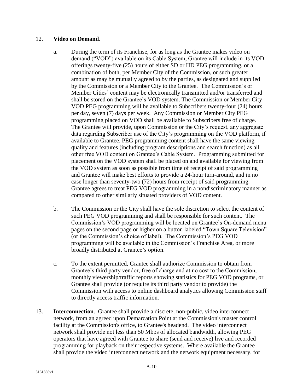#### 12. **Video on Demand**.

- a. During the term of its Franchise, for as long as the Grantee makes video on demand ("VOD") available on its Cable System, Grantee will include in its VOD offerings twenty-five (25) hours of either SD or HD PEG programming, or a combination of both, per Member City of the Commission, or such greater amount as may be mutually agreed to by the parties, as designated and supplied by the Commission or a Member City to the Grantee. The Commission's or Member Cities' content may be electronically transmitted and/or transferred and shall be stored on the Grantee's VOD system. The Commission or Member City VOD PEG programming will be available to Subscribers twenty-four (24) hours per day, seven (7) days per week. Any Commission or Member City PEG programming placed on VOD shall be available to Subscribers free of charge. The Grantee will provide, upon Commission or the City's request, any aggregate data regarding Subscriber use of the City's programming on the VOD platform, if available to Grantee. PEG programming content shall have the same viewing quality and features (including program descriptions and search function) as all other free VOD content on Grantee's Cable System. Programming submitted for placement on the VOD system shall be placed on and available for viewing from the VOD system as soon as possible from time of receipt of said programming and Grantee will make best efforts to provide a 24-hour turn-around, and in no case longer than seventy-two (72) hours from receipt of said programming. Grantee agrees to treat PEG VOD programming in a nondiscriminatory manner as compared to other similarly situated providers of VOD content.
- b. The Commission or the City shall have the sole discretion to select the content of such PEG VOD programming and shall be responsible for such content. The Commission's VOD programming will be located on Grantee's On-demand menu pages on the second page or higher on a button labeled "Town Square Television" (or the Commission's choice of label). The Commission's PEG VOD programming will be available in the Commission's Franchise Area, or more broadly distributed at Grantee's option.
- c. To the extent permitted, Grantee shall authorize Commission to obtain from Grantee's third party vendor, free of charge and at no cost to the Commission, monthly viewership/traffic reports showing statistics for PEG VOD programs, or Grantee shall provide (or require its third party vendor to provide) the Commission with access to online dashboard analytics allowing Commission staff to directly access traffic information.
- 13. **Interconnection**. Grantee shall provide a discrete, non-public, video interconnect network, from an agreed upon Demarcation Point at the Commission's master control facility at the Commission's office, to Grantee's headend. The video interconnect network shall provide not less than 50 Mbps of allocated bandwidth, allowing PEG operators that have agreed with Grantee to share (send and receive) live and recorded programming for playback on their respective systems. Where available the Grantee shall provide the video interconnect network and the network equipment necessary, for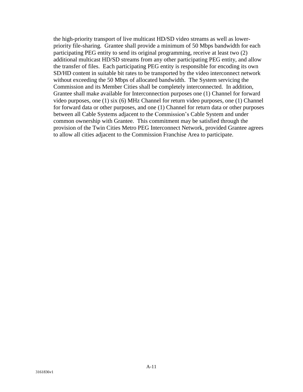the high-priority transport of live multicast HD/SD video streams as well as lowerpriority file-sharing. Grantee shall provide a minimum of 50 Mbps bandwidth for each participating PEG entity to send its original programming, receive at least two (2) additional multicast HD/SD streams from any other participating PEG entity, and allow the transfer of files. Each participating PEG entity is responsible for encoding its own SD/HD content in suitable bit rates to be transported by the video interconnect network without exceeding the 50 Mbps of allocated bandwidth. The System servicing the Commission and its Member Cities shall be completely interconnected. In addition, Grantee shall make available for Interconnection purposes one (1) Channel for forward video purposes, one (1) six (6) MHz Channel for return video purposes, one (1) Channel for forward data or other purposes, and one (1) Channel for return data or other purposes between all Cable Systems adjacent to the Commission's Cable System and under common ownership with Grantee. This commitment may be satisfied through the provision of the Twin Cities Metro PEG Interconnect Network, provided Grantee agrees to allow all cities adjacent to the Commission Franchise Area to participate.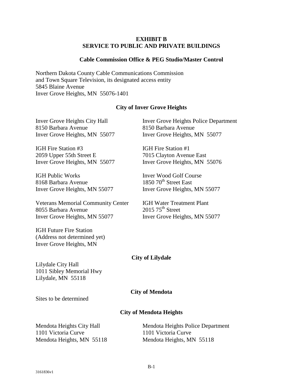#### **EXHIBIT B SERVICE TO PUBLIC AND PRIVATE BUILDINGS**

#### **Cable Commission Office & PEG Studio/Master Control**

Northern Dakota County Cable Communications Commission and Town Square Television, its designated access entity 5845 Blaine Avenue Inver Grove Heights, MN 55076-1401

#### **City of Inver Grove Heights**

8150 Barbara Avenue 8150 Barbara Avenue

IGH Fire Station #3 IGH Fire Station #1 2059 Upper 55th Street E 7015 Clayton Avenue East

IGH Public Works Inver Wood Golf Course 8168 Barbara Avenue  $1850\ 70<sup>th</sup>$  Street East Inver Grove Heights, MN 55077 Inver Grove Heights, MN 55077

Veterans Memorial Community Center IGH Water Treatment Plant<br>8055 Barbara Avenue 2015 75<sup>th</sup> Street 8055 Barbara Avenue Inver Grove Heights, MN 55077 Inver Grove Heights, MN 55077

IGH Future Fire Station (Address not determined yet) Inver Grove Heights, MN

Inver Grove Heights City Hall Inver Grove Heights Police Department Inver Grove Heights, MN 55077 Inver Grove Heights, MN 55077

Inver Grove Heights, MN 55077 Inver Grove Heights, MN 55076

#### **City of Lilydale**

Lilydale City Hall 1011 Sibley Memorial Hwy Lilydale, MN 55118

#### **City of Mendota**

Sites to be determined

#### **City of Mendota Heights**

Mendota Heights City Hall Mendota Heights Police Department 1101 Victoria Curve 1101 Victoria Curve Mendota Heights, MN 55118 Mendota Heights, MN 55118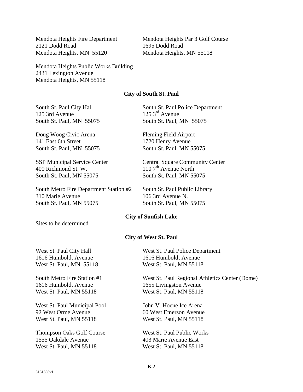2121 Dodd Road 1695 Dodd Road Mendota Heights, MN 55120 Mendota Heights, MN 55118

Mendota Heights Fire Department Mendota Heights Par 3 Golf Course

Mendota Heights Public Works Building 2431 Lexington Avenue Mendota Heights, MN 55118

#### **City of South St. Paul**

125 3rd Avenue 125 3<sup>rd</sup> Avenue South St. Paul, MN 55075 South St. Paul, MN 55075

Doug Woog Civic Arena Fleming Field Airport 141 East 6th Street 1720 Henry Avenue South St. Paul, MN 55075 South St. Paul, MN 55075

400 Richmond St. W.  $1107<sup>th</sup>$  Avenue North South St. Paul, MN 55075 South St. Paul, MN 55075

South Metro Fire Department Station #2 South St. Paul Public Library 310 Marie Avenue 106 3rd Avenue N. South St. Paul, MN 55075 South St. Paul, MN 55075

South St. Paul City Hall South St. Paul Police Department

SSP Municipal Service Center **Center** Central Square Community Center

#### **City of Sunfish Lake**

Sites to be determined

#### **City of West St. Paul**

1616 Humboldt Avenue 1616 Humboldt Avenue West St. Paul, MN 55118 West St. Paul, MN 55118

1616 Humboldt Avenue<br>
West St. Paul. MN 55118<br>
West St. Paul. MN 55118 West St. Paul, MN 55118

West St. Paul Municipal Pool John V. Hoene Ice Arena 92 West Orme Avenue 60 West Emerson Avenue West St. Paul, MN 55118 West St. Paul, MN 55118

Thompson Oaks Golf Course West St. Paul Public Works 1555 Oakdale Avenue 403 Marie Avenue East West St. Paul, MN 55118 West St. Paul, MN 55118

West St. Paul City Hall West St. Paul Police Department

South Metro Fire Station #1 West St. Paul Regional Athletics Center (Dome)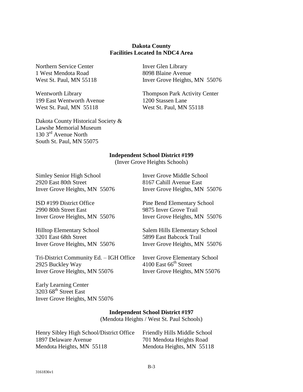#### **Dakota County Facilities Located In NDC4 Area**

Northern Service Center Inver Glen Library 1 West Mendota Road 8098 Blaine Avenue

199 East Wentworth Avenue 1200 Stassen Lane West St. Paul, MN 55118 West St. Paul, MN 55118

Dakota County Historical Society & Lawshe Memorial Museum 130 3rd Avenue North South St. Paul, MN 55075

West St. Paul, MN 55118 Inver Grove Heights, MN 55076

Wentworth Library Thompson Park Activity Center

#### **Independent School District #199**

(Inver Grove Heights Schools)

Simley Senior High School Inver Grove Middle School 2920 East 80th Street 8167 Cahill Avenue East

ISD #199 District Office Pine Bend Elementary School 2990 80th Street East 9875 Inver Grove Trail

Hilltop Elementary School Salem Hills Elementary School 3201 East 68th Street 5899 East Babcock Trail Inver Grove Heights, MN 55076 Inver Grove Heights, MN 55076

Tri-District Community Ed. – IGH Office Inver Grove Elementary School 2925 Buckley Way  $4100$  East 66<sup>th</sup> Street Inver Grove Heights, MN 55076 Inver Grove Heights, MN 55076

Early Learning Center  $3203\,68$ <sup>th</sup> Street East Inver Grove Heights, MN 55076

Inver Grove Heights, MN 55076 Inver Grove Heights, MN 55076

Inver Grove Heights, MN 55076 Inver Grove Heights, MN 55076

#### **Independent School District #197**

(Mendota Heights / West St. Paul Schools)

| Henry Sibley High School/District Office | Friendly Hills Middle School |
|------------------------------------------|------------------------------|
| 1897 Delaware Avenue                     | 701 Mendota Heights Road     |
| Mendota Heights, MN 55118                | Mendota Heights, MN 55118    |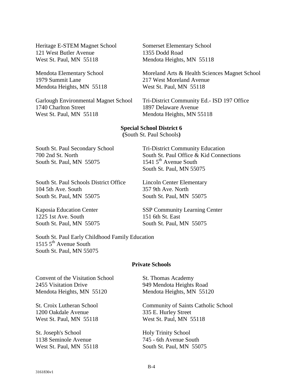Heritage E-STEM Magnet School Somerset Elementary School 121 West Butler Avenue 1355 Dodd Road West St. Paul, MN 55118 Mendota Heights, MN 55118

1979 Summit Lane 217 West Moreland Avenue Mendota Heights, MN 55118 West St. Paul, MN 55118

1740 Charlton Street 1897 Delaware Avenue West St. Paul, MN 55118 Mendota Heights, MN 55118

Mendota Elementary School Moreland Arts & Health Sciences Magnet School

Garlough Environmental Magnet School Tri-District Community Ed.- ISD 197 Office

**Special School District 6 (**South St. Paul Schools**)**

South St. Paul Secondary School Tri-District Community Education 700 2nd St. North South St. Paul Office & Kid Connections South St. Paul, MN  $55075$  1541  $5<sup>th</sup>$  Avenue South

South St. Paul Schools District Office Lincoln Center Elementary 104 5th Ave. South 357 9th Ave. North South St. Paul, MN 55075 South St. Paul, MN 55075

1225 1st Ave. South 151 6th St. East South St. Paul, MN 55075 South St. Paul, MN 55075

South St. Paul, MN 55075

Kaposia Education Center SSP Community Learning Center

South St. Paul Early Childhood Family Education  $15155<sup>th</sup>$  Avenue South South St. Paul, MN 55075

#### **Private Schools**

Convent of the Visitation School St. Thomas Academy 2455 Visitation Drive 949 Mendota Heights Road Mendota Heights, MN 55120 Mendota Heights, MN 55120

1200 Oakdale Avenue 335 E. Hurley Street West St. Paul, MN 55118 West St. Paul, MN 55118

St. Joseph's School Holy Trinity School 1138 Seminole Avenue 745 - 6th Avenue South

St. Croix Lutheran School Community of Saints Catholic School

West St. Paul, MN 55118 South St. Paul, MN 55075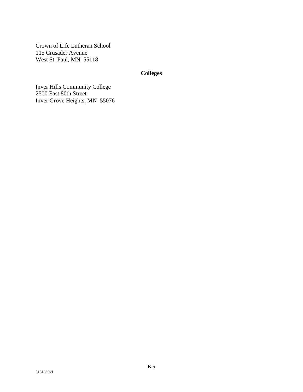Crown of Life Lutheran School 115 Crusader Avenue West St. Paul, MN 55118

## **Colleges**

Inver Hills Community College 2500 East 80th Street Inver Grove Heights, MN 55076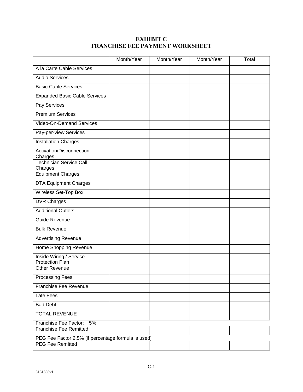## **EXHIBIT C FRANCHISE FEE PAYMENT WORKSHEET**

|                                                     | Month/Year | Month/Year | Month/Year | Total |
|-----------------------------------------------------|------------|------------|------------|-------|
| A la Carte Cable Services                           |            |            |            |       |
| Audio Services                                      |            |            |            |       |
| <b>Basic Cable Services</b>                         |            |            |            |       |
| <b>Expanded Basic Cable Services</b>                |            |            |            |       |
| <b>Pay Services</b>                                 |            |            |            |       |
| <b>Premium Services</b>                             |            |            |            |       |
| <b>Video-On-Demand Services</b>                     |            |            |            |       |
| Pay-per-view Services                               |            |            |            |       |
| <b>Installation Charges</b>                         |            |            |            |       |
| Activation/Disconnection                            |            |            |            |       |
| Charges<br><b>Technician Service Call</b>           |            |            |            |       |
| Charges                                             |            |            |            |       |
| <b>Equipment Charges</b>                            |            |            |            |       |
| <b>DTA Equipment Charges</b>                        |            |            |            |       |
| <b>Wireless Set-Top Box</b>                         |            |            |            |       |
| <b>DVR Charges</b>                                  |            |            |            |       |
| <b>Additional Outlets</b>                           |            |            |            |       |
| Guide Revenue                                       |            |            |            |       |
| <b>Bulk Revenue</b>                                 |            |            |            |       |
| <b>Advertising Revenue</b>                          |            |            |            |       |
| Home Shopping Revenue                               |            |            |            |       |
| Inside Wiring / Service<br>Protection Plan          |            |            |            |       |
| <b>Other Revenue</b>                                |            |            |            |       |
| Processing Fees                                     |            |            |            |       |
| <b>Franchise Fee Revenue</b>                        |            |            |            |       |
| Late Fees                                           |            |            |            |       |
| <b>Bad Debt</b>                                     |            |            |            |       |
| <b>TOTAL REVENUE</b>                                |            |            |            |       |
| Franchise Fee Factor:<br>5%                         |            |            |            |       |
| <b>Franchise Fee Remitted</b>                       |            |            |            |       |
| PEG Fee Factor 2.5% [if percentage formula is used] |            |            |            |       |
| <b>PEG Fee Remitted</b>                             |            |            |            |       |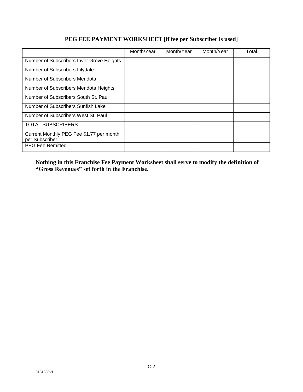## Month/Year | Month/Year | Month/Year | Total Number of Subscribers Inver Grove Heights Number of Subscribers Lilydale Number of Subscribers Mendota Number of Subscribers Mendota Heights Number of Subscribers South St. Paul Number of Subscribers Sunfish Lake Number of Subscribers West St. Paul TOTAL SUBSCRIBERS Current Monthly PEG Fee \$1.77 per month per Subscriber PEG Fee Remitted

## **PEG FEE PAYMENT WORKSHEET [if fee per Subscriber is used]**

**Nothing in this Franchise Fee Payment Worksheet shall serve to modify the definition of "Gross Revenues" set forth in the Franchise.**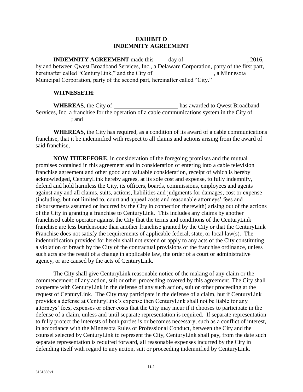#### **EXHIBIT D INDEMNITY AGREEMENT**

**INDEMNITY AGREEMENT** made this \_\_\_\_ day of \_\_\_\_\_\_\_\_\_\_\_\_\_\_\_\_\_\_\_\_, 2016, by and between Qwest Broadband Services, Inc., a Delaware Corporation, party of the first part, hereinafter called "CenturyLink," and the City of \_\_\_\_\_\_\_\_\_\_\_\_\_\_\_\_\_\_\_\_\_, a Minnesota Municipal Corporation, party of the second part, hereinafter called "City."

#### **WITNESSETH**:

WHEREAS, the City of has awarded to Qwest Broadband Services, Inc. a franchise for the operation of a cable communications system in the City of ; and

**WHEREAS**, the City has required, as a condition of its award of a cable communications franchise, that it be indemnified with respect to all claims and actions arising from the award of said franchise,

**NOW THEREFORE**, in consideration of the foregoing promises and the mutual promises contained in this agreement and in consideration of entering into a cable television franchise agreement and other good and valuable consideration, receipt of which is hereby acknowledged, CenturyLink hereby agrees, at its sole cost and expense, to fully indemnify, defend and hold harmless the City, its officers, boards, commissions, employees and agents against any and all claims, suits, actions, liabilities and judgments for damages, cost or expense (including, but not limited to, court and appeal costs and reasonable attorneys' fees and disbursements assumed or incurred by the City in connection therewith) arising out of the actions of the City in granting a franchise to CenturyLink. This includes any claims by another franchised cable operator against the City that the terms and conditions of the CenturyLink franchise are less burdensome than another franchise granted by the City or that the CenturyLink Franchise does not satisfy the requirements of applicable federal, state, or local law(s). The indemnification provided for herein shall not extend or apply to any acts of the City constituting a violation or breach by the City of the contractual provisions of the franchise ordinance, unless such acts are the result of a change in applicable law, the order of a court or administrative agency, or are caused by the acts of CenturyLink.

The City shall give CenturyLink reasonable notice of the making of any claim or the commencement of any action, suit or other proceeding covered by this agreement. The City shall cooperate with CenturyLink in the defense of any such action, suit or other proceeding at the request of CenturyLink. The City may participate in the defense of a claim, but if CenturyLink provides a defense at CenturyLink's expense then CenturyLink shall not be liable for any attorneys' fees, expenses or other costs that the City may incur if it chooses to participate in the defense of a claim, unless and until separate representation is required. If separate representation to fully protect the interests of both parties is or becomes necessary, such as a conflict of interest, in accordance with the Minnesota Rules of Professional Conduct, between the City and the counsel selected by CenturyLink to represent the City, CenturyLink shall pay, from the date such separate representation is required forward, all reasonable expenses incurred by the City in defending itself with regard to any action, suit or proceeding indemnified by CenturyLink.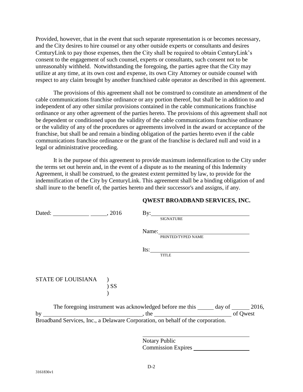Provided, however, that in the event that such separate representation is or becomes necessary, and the City desires to hire counsel or any other outside experts or consultants and desires CenturyLink to pay those expenses, then the City shall be required to obtain CenturyLink's consent to the engagement of such counsel, experts or consultants, such consent not to be unreasonably withheld. Notwithstanding the foregoing, the parties agree that the City may utilize at any time, at its own cost and expense, its own City Attorney or outside counsel with respect to any claim brought by another franchised cable operator as described in this agreement.

The provisions of this agreement shall not be construed to constitute an amendment of the cable communications franchise ordinance or any portion thereof, but shall be in addition to and independent of any other similar provisions contained in the cable communications franchise ordinance or any other agreement of the parties hereto. The provisions of this agreement shall not be dependent or conditioned upon the validity of the cable communications franchise ordinance or the validity of any of the procedures or agreements involved in the award or acceptance of the franchise, but shall be and remain a binding obligation of the parties hereto even if the cable communications franchise ordinance or the grant of the franchise is declared null and void in a legal or administrative proceeding.

It is the purpose of this agreement to provide maximum indemnification to the City under the terms set out herein and, in the event of a dispute as to the meaning of this Indemnity Agreement, it shall be construed, to the greatest extent permitted by law, to provide for the indemnification of the City by CenturyLink. This agreement shall be a binding obligation of and shall inure to the benefit of, the parties hereto and their successor's and assigns, if any.

## **QWEST BROADBAND SERVICES, INC.**

|                                                                                 |  | <b>SIGNATURE</b>         |  |
|---------------------------------------------------------------------------------|--|--------------------------|--|
|                                                                                 |  | Name: PRINTED/TYPED NAME |  |
|                                                                                 |  | $Its:\_$                 |  |
|                                                                                 |  | <b>TITLE</b>             |  |
|                                                                                 |  |                          |  |
| STATE OF LOUISIANA )                                                            |  |                          |  |
| $)$ SS                                                                          |  |                          |  |
|                                                                                 |  |                          |  |
|                                                                                 |  |                          |  |
|                                                                                 |  |                          |  |
| Broadband Services, Inc., a Delaware Corporation, on behalf of the corporation. |  |                          |  |
|                                                                                 |  |                          |  |
|                                                                                 |  |                          |  |

Notary Public Commission Expires